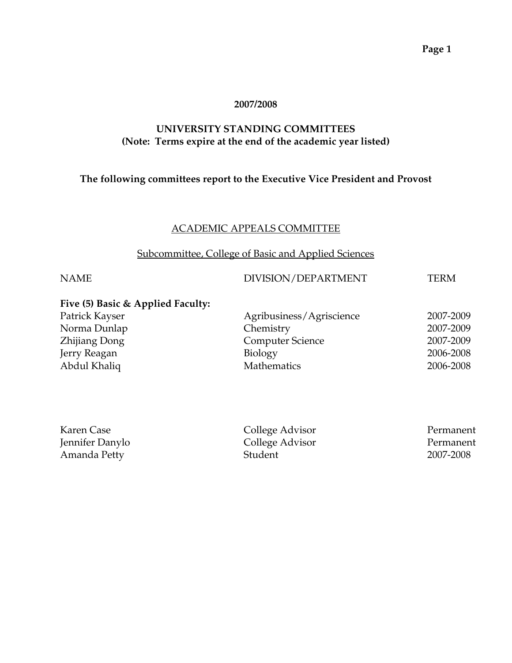#### **2007/2008**

#### **UNIVERSITY STANDING COMMITTEES (Note: Terms expire at the end of the academic year listed)**

## **The following committees report to the Executive Vice President and Provost**

#### ACADEMIC APPEALS COMMITTEE

#### Subcommittee, College of Basic and Applied Sciences

## NAME DIVISION/DEPARTMENT TERM

| Five (5) Basic & Applied Faculty: |                          |           |
|-----------------------------------|--------------------------|-----------|
| Patrick Kayser                    | Agribusiness/Agriscience | 2007-2009 |
| Norma Dunlap                      | Chemistry                | 2007-2009 |
| Zhijiang Dong                     | <b>Computer Science</b>  | 2007-2009 |
| Jerry Reagan                      | <b>Biology</b>           | 2006-2008 |
| Abdul Khaliq                      | Mathematics              | 2006-2008 |

| Karen Case      | College Advisor | Permanent |
|-----------------|-----------------|-----------|
| Jennifer Danylo | College Advisor | Permanent |
| Amanda Petty    | <b>Student</b>  | 2007-2008 |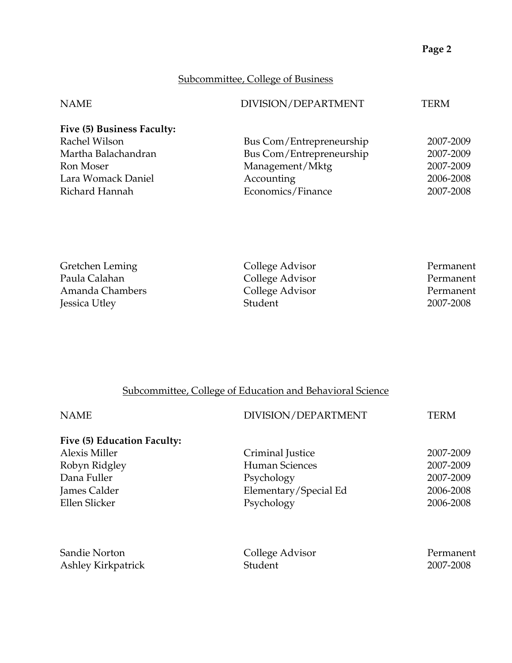# Subcommittee, College of Business

| <b>NAME</b>                | DIVISION/DEPARTMENT      | TERM      |
|----------------------------|--------------------------|-----------|
| Five (5) Business Faculty: |                          |           |
| Rachel Wilson              | Bus Com/Entrepreneurship | 2007-2009 |
| Martha Balachandran        | Bus Com/Entrepreneurship | 2007-2009 |
| Ron Moser                  | Management/Mktg          | 2007-2009 |
| Lara Womack Daniel         | Accounting               | 2006-2008 |
| Richard Hannah             | Economics/Finance        | 2007-2008 |
|                            |                          |           |

| Gretchen Leming | College Advisor | Permanent |
|-----------------|-----------------|-----------|
| Paula Calahan   | College Advisor | Permanent |
| Amanda Chambers | College Advisor | Permanent |
| Jessica Utley   | Student         | 2007-2008 |

# Subcommittee, College of Education and Behavioral Science

| <b>NAME</b>                 | DIVISION/DEPARTMENT   | TERM      |
|-----------------------------|-----------------------|-----------|
| Five (5) Education Faculty: |                       |           |
| <b>Alexis Miller</b>        | Criminal Justice      | 2007-2009 |
| Robyn Ridgley               | <b>Human Sciences</b> | 2007-2009 |
| Dana Fuller                 | Psychology            | 2007-2009 |
| James Calder                | Elementary/Special Ed | 2006-2008 |
| Ellen Slicker               | Psychology            | 2006-2008 |
|                             |                       |           |
| Sandie Norton               | College Advisor       | Permanent |
| Ashley Kirkpatrick          | Student               | 2007-2008 |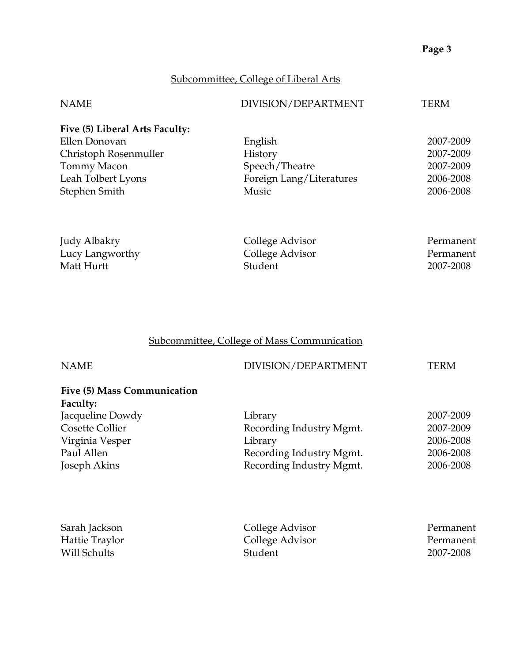# Subcommittee, College of Liberal Arts

| <b>NAME</b>                    | DIVISION/DEPARTMENT      | <b>TERM</b> |
|--------------------------------|--------------------------|-------------|
| Five (5) Liberal Arts Faculty: |                          |             |
| Ellen Donovan                  | English                  | 2007-2009   |
| Christoph Rosenmuller          | <b>History</b>           | 2007-2009   |
| Tommy Macon                    | Speech/Theatre           | 2007-2009   |
| Leah Tolbert Lyons             | Foreign Lang/Literatures | 2006-2008   |
| Stephen Smith                  | Music                    | 2006-2008   |
| Judy Albakry                   | College Advisor          | Permanent   |
| Lucy Langworthy                | College Advisor          | Permanent   |
| Matt Hurtt                     | Student                  | 2007-2008   |

# Subcommittee, College of Mass Communication

| <b>NAME</b>                                    | DIVISION/DEPARTMENT      | TERM      |
|------------------------------------------------|--------------------------|-----------|
| Five (5) Mass Communication<br><b>Faculty:</b> |                          |           |
| Jacqueline Dowdy                               | Library                  | 2007-2009 |
| Cosette Collier                                | Recording Industry Mgmt. | 2007-2009 |
| Virginia Vesper                                | Library                  | 2006-2008 |
| Paul Allen                                     | Recording Industry Mgmt. | 2006-2008 |
| Joseph Akins                                   | Recording Industry Mgmt. | 2006-2008 |
|                                                |                          |           |
|                                                |                          |           |
|                                                |                          |           |

| Sarah Jackson  | College Advisor | Permanent |
|----------------|-----------------|-----------|
| Hattie Traylor | College Advisor | Permanent |
| Will Schults   | <b>Student</b>  | 2007-2008 |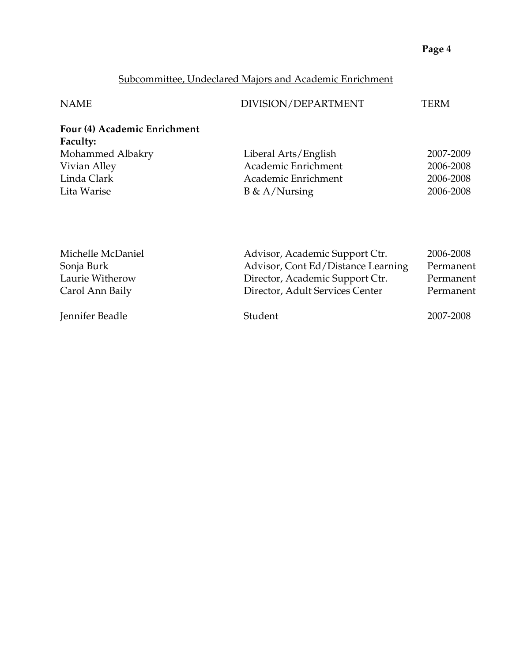# Subcommittee, Undeclared Majors and Academic Enrichment

| <b>NAME</b>                                     | DIVISION/DEPARTMENT  | TERM      |
|-------------------------------------------------|----------------------|-----------|
| Four (4) Academic Enrichment<br><b>Faculty:</b> |                      |           |
| Mohammed Albakry                                | Liberal Arts/English | 2007-2009 |
| Vivian Alley                                    | Academic Enrichment  | 2006-2008 |
| Linda Clark                                     | Academic Enrichment  | 2006-2008 |
| Lita Warise                                     | $B \& A/Nursing$     | 2006-2008 |
|                                                 |                      |           |
|                                                 |                      |           |
|                                                 |                      |           |

| Michelle McDaniel | Advisor, Academic Support Ctr.     | 2006-2008 |
|-------------------|------------------------------------|-----------|
| Sonja Burk        | Advisor, Cont Ed/Distance Learning | Permanent |
| Laurie Witherow   | Director, Academic Support Ctr.    | Permanent |
| Carol Ann Baily   | Director, Adult Services Center    | Permanent |
| Jennifer Beadle   | Student                            | 2007-2008 |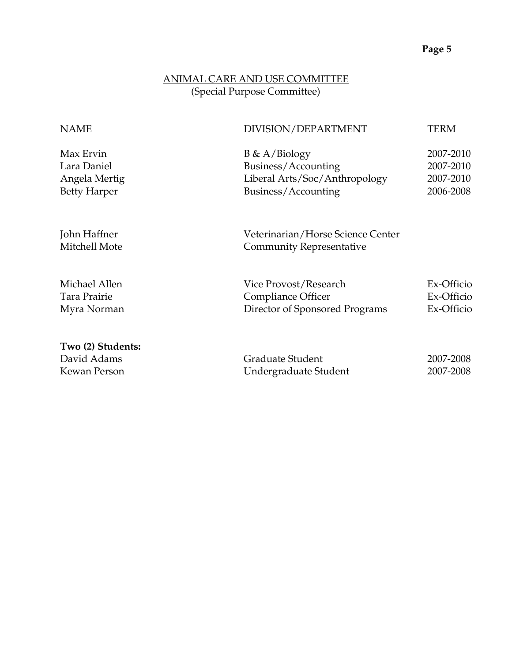## ANIMAL CARE AND USE COMMITTEE (Special Purpose Committee)

| <b>NAME</b>                                                      | DIVISION/DEPARTMENT                                                                             | TERM                                             |
|------------------------------------------------------------------|-------------------------------------------------------------------------------------------------|--------------------------------------------------|
| Max Ervin<br>Lara Daniel<br>Angela Mertig<br><b>Betty Harper</b> | $B \& A/Biology$<br>Business/Accounting<br>Liberal Arts/Soc/Anthropology<br>Business/Accounting | 2007-2010<br>2007-2010<br>2007-2010<br>2006-2008 |
| John Haffner<br>Mitchell Mote                                    | Veterinarian/Horse Science Center<br><b>Community Representative</b>                            |                                                  |
| Michael Allen<br>Tara Prairie<br>Myra Norman                     | Vice Provost/Research<br>Compliance Officer<br>Director of Sponsored Programs                   | Ex-Officio<br>Ex-Officio<br>Ex-Officio           |
| Two (2) Students:<br>David Adams<br>Kewan Person                 | Graduate Student<br>Undergraduate Student                                                       | 2007-2008<br>2007-2008                           |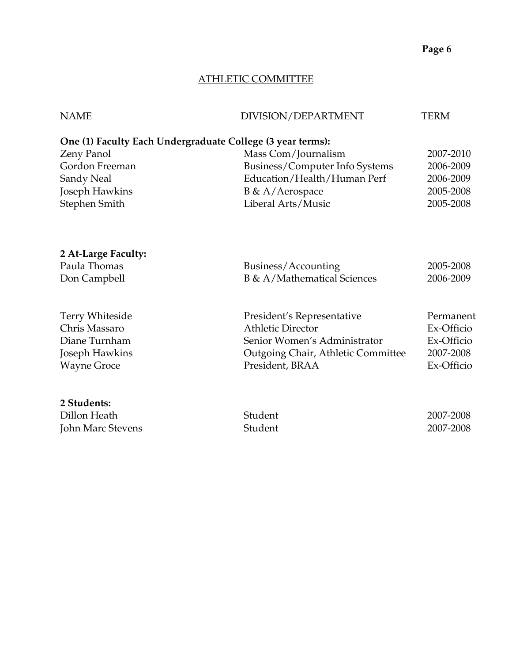## ATHLETIC COMMITTEE

| <b>NAME</b>         | DIVISION/DEPARTMENT                                        | <b>TERM</b> |
|---------------------|------------------------------------------------------------|-------------|
|                     | One (1) Faculty Each Undergraduate College (3 year terms): |             |
| Zeny Panol          | Mass Com/Journalism                                        | 2007-2010   |
| Gordon Freeman      | Business/Computer Info Systems                             | 2006-2009   |
| Sandy Neal          | Education/Health/Human Perf                                | 2006-2009   |
| Joseph Hawkins      | B & A/Aerospace                                            | 2005-2008   |
| Stephen Smith       | Liberal Arts/Music                                         | 2005-2008   |
| 2 At-Large Faculty: |                                                            |             |
| Paula Thomas        | Business/Accounting                                        | 2005-2008   |
| Don Campbell        | B & A/Mathematical Sciences                                | 2006-2009   |
| Terry Whiteside     | President's Representative                                 | Permanent   |
| Chris Massaro       | <b>Athletic Director</b>                                   | Ex-Officio  |
| Diane Turnham       | Senior Women's Administrator                               | Ex-Officio  |
| Joseph Hawkins      | Outgoing Chair, Athletic Committee                         | 2007-2008   |
| <b>Wayne Groce</b>  | President, BRAA                                            | Ex-Officio  |
| 2 Students:         |                                                            |             |
| Dillon Heath        | Student                                                    | 2007-2008   |
| John Marc Stevens   | Student                                                    | 2007-2008   |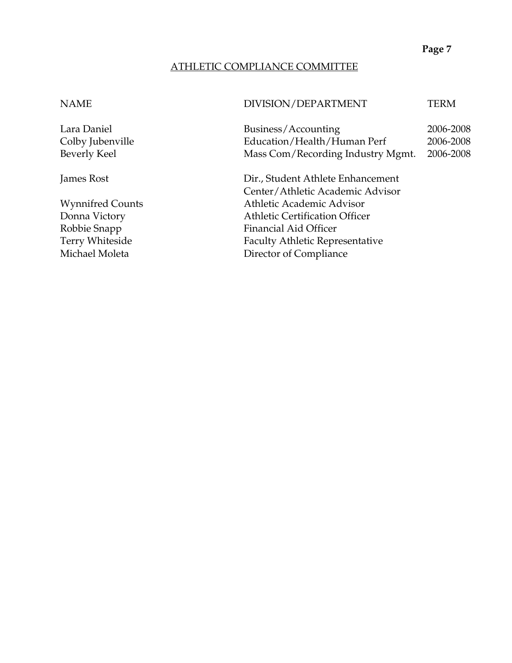#### ATHLETIC COMPLIANCE COMMITTEE

#### NAME DIVISION/DEPARTMENT TERM

Lara Daniel Business/Accounting 2006-2008 Colby Jubenville Education/Health/Human Perf 2006-2008 Beverly Keel Mass Com/Recording Industry Mgmt. 2006-2008

James Rost Dir., Student Athlete Enhancement Center/Athletic Academic Advisor Wynnifred Counts **Athletic Academic Advisor** Donna Victory **Athletic Certification Officer** Robbie Snapp Financial Aid Officer<br>
Terry Whiteside Faculty Athletic Repre Faculty Athletic Representative Michael Moleta **Director of Compliance**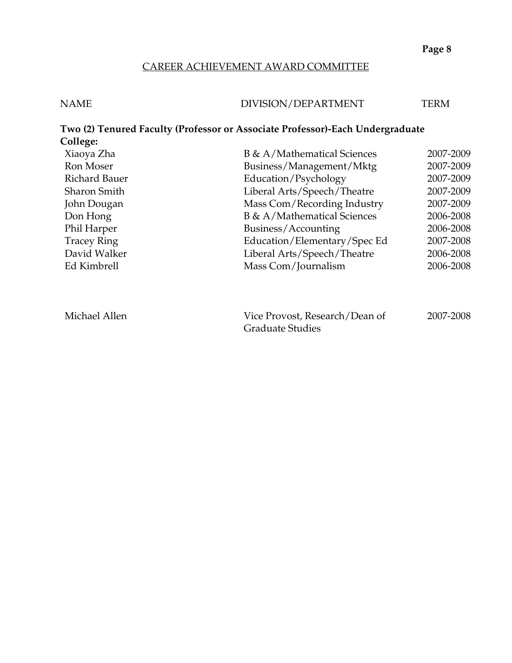#### CAREER ACHIEVEMENT AWARD COMMITTEE

| <b>NAME</b> | DIVISION/DEPARTMENT | TERM |
|-------------|---------------------|------|
|             |                     |      |

#### **Two (2) Tenured Faculty (Professor or Associate Professor)-Each Undergraduate College:**  Xiaoya Zha B & A/Mathematical Sciences 2007-2009 Ron Moser Business/Management/Mktg 2007-2009 Richard Bauer **Education/Psychology** 2007-2009 Sharon Smith Liberal Arts/Speech/Theatre 2007-2009 John Dougan Mass Com/Recording Industry 2007-2009 Don Hong B & A/Mathematical Sciences 2006-2008 Phil Harper Business/Accounting 2006-2008

| David Walker  | Liberal Arts/Speech/Theatre    | 2006-2008 |
|---------------|--------------------------------|-----------|
| Ed Kimbrell   | Mass Com/Journalism            | 2006-2008 |
|               |                                |           |
|               |                                |           |
|               |                                |           |
| Michael Allen | Vice Provost, Research/Dean of | 2007-2008 |
|               | <b>Graduate Studies</b>        |           |

Tracey Ring Tracey Ring Education/Elementary/Spec Ed 2007-2008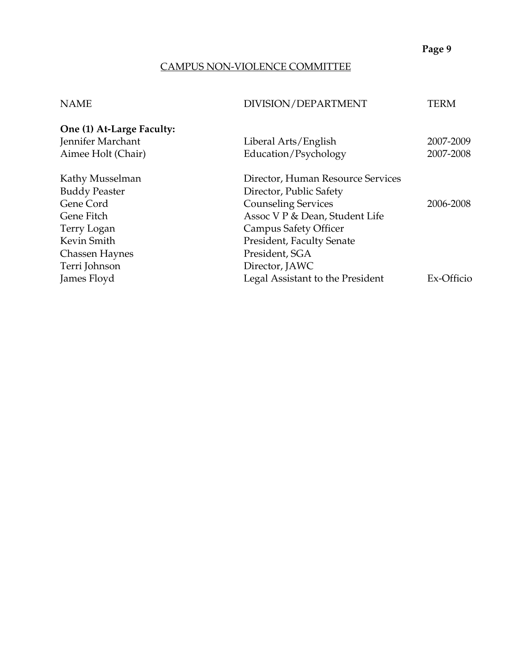## CAMPUS NON-VIOLENCE COMMITTEE

# NAME DIVISION/DEPARTMENT TERM

| One (1) At-Large Faculty: |                                   |            |
|---------------------------|-----------------------------------|------------|
| Jennifer Marchant         | Liberal Arts/English              | 2007-2009  |
| Aimee Holt (Chair)        | Education/Psychology              | 2007-2008  |
| Kathy Musselman           | Director, Human Resource Services |            |
| <b>Buddy Peaster</b>      | Director, Public Safety           |            |
| Gene Cord                 | <b>Counseling Services</b>        | 2006-2008  |
| Gene Fitch                | Assoc V P & Dean, Student Life    |            |
| Terry Logan               | <b>Campus Safety Officer</b>      |            |
| Kevin Smith               | President, Faculty Senate         |            |
| <b>Chassen Haynes</b>     | President, SGA                    |            |
| Terri Johnson             | Director, JAWC                    |            |
| James Floyd               | Legal Assistant to the President  | Ex-Officio |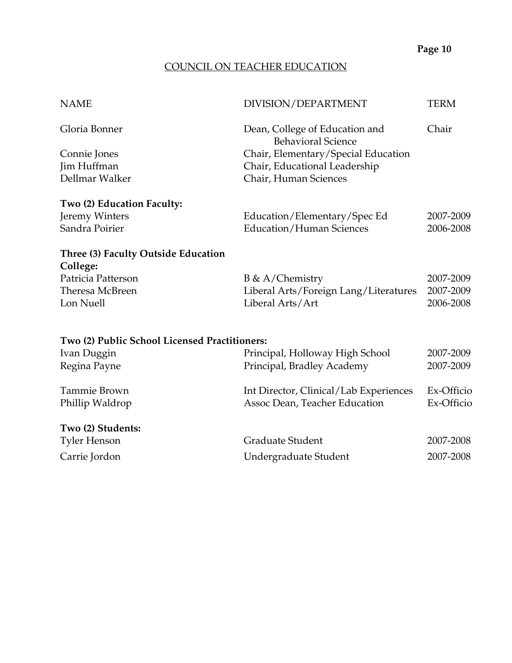# COUNCIL ON TEACHER EDUCATION

| <b>NAME</b>                                   | DIVISION/DEPARTMENT                                         | <b>TERM</b> |
|-----------------------------------------------|-------------------------------------------------------------|-------------|
| Gloria Bonner                                 | Dean, College of Education and<br><b>Behavioral Science</b> | Chair       |
| Connie Jones                                  | Chair, Elementary/Special Education                         |             |
| Jim Huffman                                   | Chair, Educational Leadership                               |             |
| Dellmar Walker                                | Chair, Human Sciences                                       |             |
| Two (2) Education Faculty:                    |                                                             |             |
| Jeremy Winters                                | Education/Elementary/Spec Ed                                | 2007-2009   |
| Sandra Poirier                                | <b>Education/Human Sciences</b>                             | 2006-2008   |
| Three (3) Faculty Outside Education           |                                                             |             |
| College:                                      |                                                             |             |
| Patricia Patterson                            | $B \& A/Chemistry$                                          | 2007-2009   |
| Theresa McBreen                               | Liberal Arts/Foreign Lang/Literatures                       | 2007-2009   |
| Lon Nuell                                     | Liberal Arts/Art                                            | 2006-2008   |
|                                               |                                                             |             |
| Two (2) Public School Licensed Practitioners: |                                                             |             |
| Ivan Duggin                                   | Principal, Holloway High School                             | 2007-2009   |
| Regina Payne                                  | Principal, Bradley Academy                                  | 2007-2009   |
| Tammie Brown                                  | Int Director, Clinical/Lab Experiences                      | Ex-Officio  |
| Phillip Waldrop                               | Assoc Dean, Teacher Education                               | Ex-Officio  |
| Two (2) Students:                             |                                                             |             |
| <b>Tyler Henson</b>                           | Graduate Student                                            | 2007-2008   |
| Carrie Jordon                                 | Undergraduate Student                                       | 2007-2008   |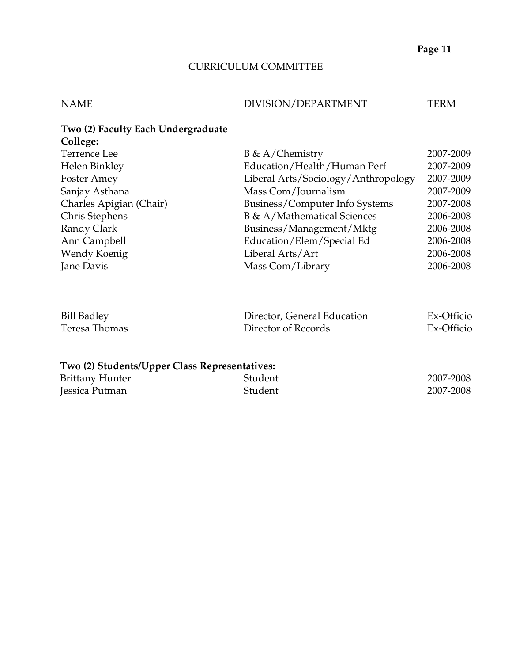#### CURRICULUM COMMITTEE

#### NAME DIVISION/DEPARTMENT TERM

# **Two (2) Faculty Each Undergraduate College:**  Terrence Lee B & A/Chemistry 2007-2009 Helen Binkley Education/Health/Human Perf 2007-2009 Foster Amey Liberal Arts/Sociology/Anthropology 2007-2009 Sanjay Asthana Mass Com/Journalism 2007-2009 Charles Apigian (Chair) Business/Computer Info Systems 2007-2008 Chris Stephens B & A/Mathematical Sciences 2006-2008 Randy Clark Business/Management/Mktg 2006-2008 Ann Campbell Education/Elem/Special Ed 2006-2008 Wendy Koenig Liberal Arts/Art 2006-2008 Jane Davis Mass Com/Library 2006-2008

| <b>Bill Badley</b> | Director, General Education | Ex-Officio |
|--------------------|-----------------------------|------------|
| Teresa Thomas      | Director of Records         | Ex-Officio |

#### **Two (2) Students/Upper Class Representatives:**

| <b>Brittany Hunter</b> | Student | 2007-2008 |
|------------------------|---------|-----------|
| Jessica Putman         | Student | 2007-2008 |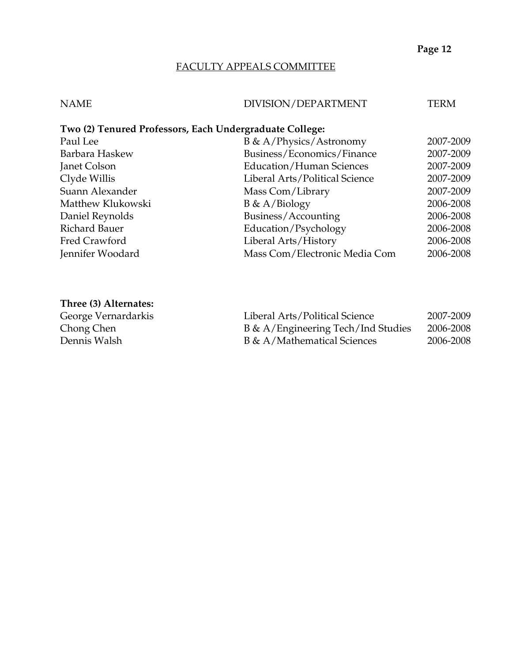#### FACULTY APPEALS COMMITTEE

# NAME DIVISION/DEPARTMENT TERM **Two (2) Tenured Professors, Each Undergraduate College:**  Paul Lee B & A/Physics/Astronomy 2007-2009 Barbara Haskew Business/Economics/Finance 2007-2009 Janet Colson Education/Human Sciences 2007-2009 Clyde Willis Liberal Arts/Political Science 2007-2009 Suann Alexander Mass Com/Library 2007-2009 Matthew Klukowski B & A/Biology 2006-2008 Daniel Reynolds Business/Accounting 2006-2008 Richard Bauer Education/Psychology 2006-2008 Liberal Arts/History 2006-2008 Jennifer Woodard Mass Com/Electronic Media Com 2006-2008

#### **Three (3) Alternates:**

George Vernardarkis Chong Chen Dennis Walsh

| Liberal Arts/Political Science     | 2007-2009 |
|------------------------------------|-----------|
| B & A/Engineering Tech/Ind Studies | 2006-2008 |
| B & A/Mathematical Sciences        | 2006-2008 |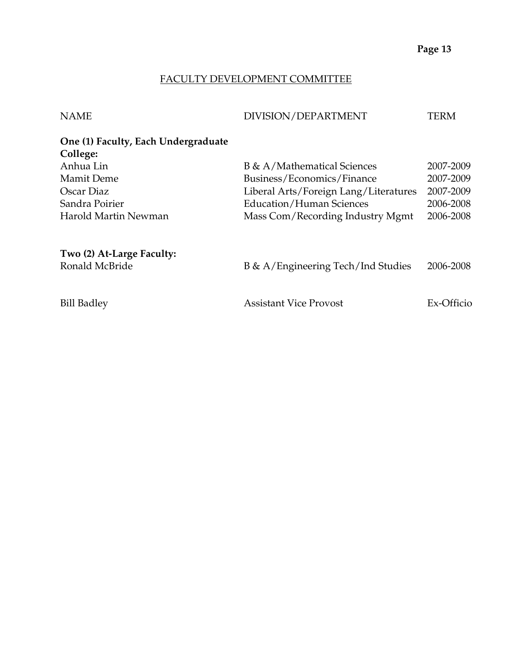## FACULTY DEVELOPMENT COMMITTEE

| <b>NAME</b>                         | DIVISION/DEPARTMENT                   | TERM       |
|-------------------------------------|---------------------------------------|------------|
| One (1) Faculty, Each Undergraduate |                                       |            |
| College:                            |                                       |            |
| Anhua Lin                           | B & A/Mathematical Sciences           | 2007-2009  |
| Mamit Deme                          | Business/Economics/Finance            | 2007-2009  |
| Oscar Diaz                          | Liberal Arts/Foreign Lang/Literatures | 2007-2009  |
| Sandra Poirier                      | <b>Education/Human Sciences</b>       | 2006-2008  |
| Harold Martin Newman                | Mass Com/Recording Industry Mgmt      | 2006-2008  |
| Two (2) At-Large Faculty:           |                                       |            |
| Ronald McBride                      | B & A/Engineering Tech/Ind Studies    | 2006-2008  |
| <b>Bill Badley</b>                  | <b>Assistant Vice Provost</b>         | Ex-Officio |
|                                     |                                       |            |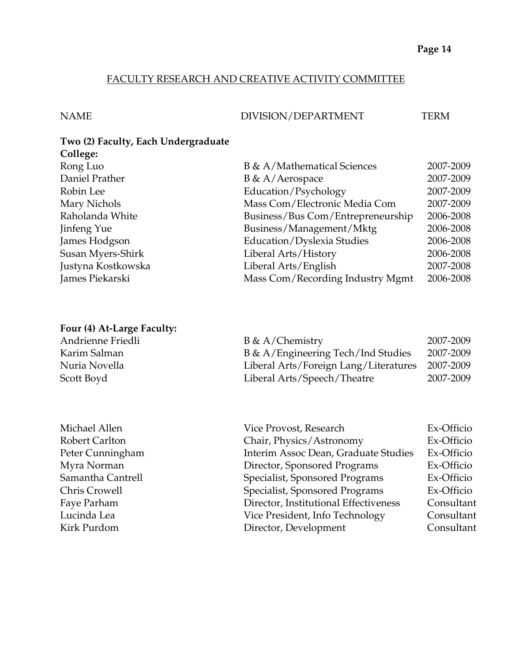## FACULTY RESEARCH AND CREATIVE ACTIVITY COMMITTEE

#### NAME DIVISION/DEPARTMENT TERM

#### **Two (2) Faculty, Each Undergraduate College:**

| $\ddotsc$          |                                   |           |
|--------------------|-----------------------------------|-----------|
| Rong Luo           | B & A/Mathematical Sciences       | 2007-2009 |
| Daniel Prather     | B & A/Aerospace                   | 2007-2009 |
| Robin Lee          | Education/Psychology              | 2007-2009 |
| Mary Nichols       | Mass Com/Electronic Media Com     | 2007-2009 |
| Raholanda White    | Business/Bus Com/Entrepreneurship | 2006-2008 |
| Jinfeng Yue        | Business/Management/Mktg          | 2006-2008 |
| James Hodgson      | Education/Dyslexia Studies        | 2006-2008 |
| Susan Myers-Shirk  | Liberal Arts/History              | 2006-2008 |
| Justyna Kostkowska | Liberal Arts/English              | 2007-2008 |
| James Piekarski    | Mass Com/Recording Industry Mgmt  | 2006-2008 |
|                    |                                   |           |

# **Four (4) At-Large Faculty:**

| Andrienne Friedli | $B \& A/Chemistry$                    | 2007-2009 |
|-------------------|---------------------------------------|-----------|
| Karim Salman      | B & A/Engineering Tech/Ind Studies    | 2007-2009 |
| Nuria Novella     | Liberal Arts/Foreign Lang/Literatures | 2007-2009 |
| Scott Boyd        | Liberal Arts/Speech/Theatre           | 2007-2009 |

| Michael Allen     |
|-------------------|
| Robert Carlton    |
| Peter Cunningham  |
| Myra Norman       |
| Samantha Cantrell |
| Chris Crowell     |
| Faye Parham       |
| Lucinda Lea       |
| Kirk Purdom       |

| Michael Allen     | Vice Provost, Research                | Ex-Officio |
|-------------------|---------------------------------------|------------|
| Robert Carlton    | Chair, Physics/Astronomy              | Ex-Officio |
| Peter Cunningham  | Interim Assoc Dean, Graduate Studies  | Ex-Officio |
| Myra Norman       | Director, Sponsored Programs          | Ex-Officio |
| Samantha Cantrell | Specialist, Sponsored Programs        | Ex-Officio |
| Chris Crowell     | Specialist, Sponsored Programs        | Ex-Officio |
| Faye Parham       | Director, Institutional Effectiveness | Consultant |
| Lucinda Lea       | Vice President, Info Technology       | Consultant |
| Kirk Purdom       | Director, Development                 | Consultant |
|                   |                                       |            |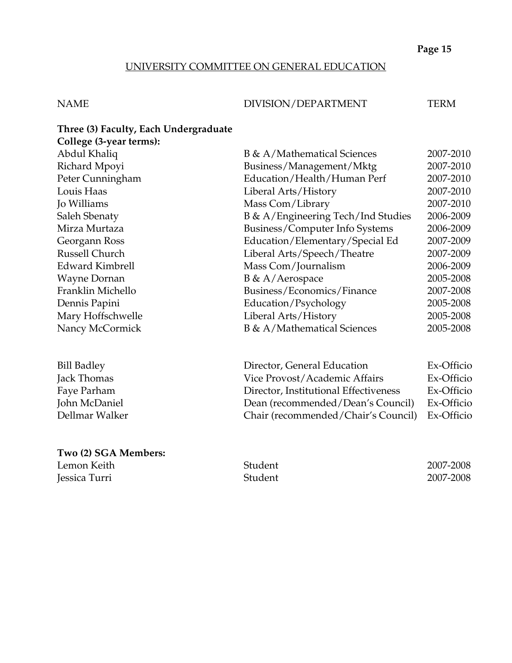#### UNIVERSITY COMMITTEE ON GENERAL EDUCATION

#### NAME DIVISION/DEPARTMENT TERM

**Three (3) Faculty, Each Undergraduate College (3-year terms):**  Abdul Khaliq B & A/Mathematical Sciences 2007-2010 Richard Mpoyi Business/Management/Mktg 2007-2010 Peter Cunningham Education/Health/Human Perf 2007-2010 Louis Haas Liberal Arts/History 2007-2010 Jo Williams Mass Com/Library 2007-2010 Saleh Sbenaty B & A/Engineering Tech/Ind Studies 2006-2009 Mirza Murtaza Business/Computer Info Systems 2006-2009 Georgann Ross Education/Elementary/Special Ed 2007-2009 Russell Church Liberal Arts/Speech/Theatre 2007-2009 Edward Kimbrell Mass Com/Journalism 2006-2009 Wayne Dornan B & A/Aerospace 2005-2008 Franklin Michello Business/Economics/Finance 2007-2008 Dennis Papini Education/Psychology 2005-2008 Mary Hoffschwelle Liberal Arts/History 2005-2008 Nancy McCormick B & A/Mathematical Sciences 2005-2008

| <b>Bill Badley</b> | Director, General Education                    | Ex-Officio |
|--------------------|------------------------------------------------|------------|
| Jack Thomas        | Vice Provost/Academic Affairs                  | Ex-Officio |
| Faye Parham        | Director, Institutional Effectiveness          | Ex-Officio |
| John McDaniel      | Dean (recommended/Dean's Council)              | Ex-Officio |
| Dellmar Walker     | Chair (recommended/Chair's Council) Ex-Officio |            |

## **Two (2) SGA Members:**

Jessica Turri Student 2007-2008

Lemon Keith Student 2007-2008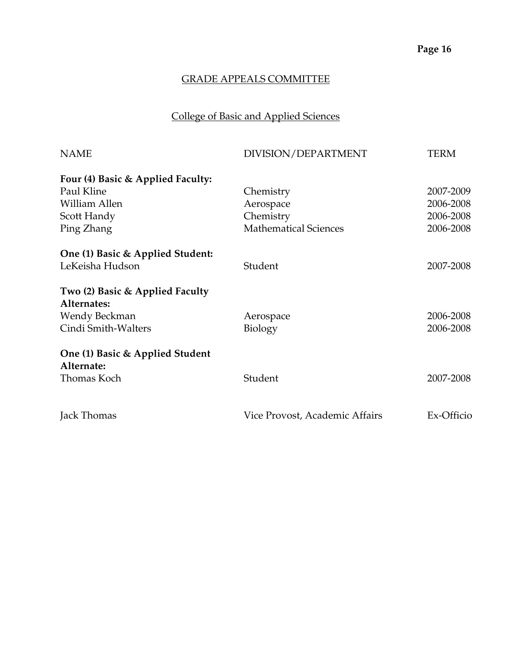# College of Basic and Applied Sciences

| <b>NAME</b>                       | DIVISION/DEPARTMENT            | TERM       |
|-----------------------------------|--------------------------------|------------|
| Four (4) Basic & Applied Faculty: |                                |            |
| Paul Kline                        | Chemistry                      | 2007-2009  |
| William Allen                     | Aerospace                      | 2006-2008  |
| Scott Handy                       | Chemistry                      | 2006-2008  |
| Ping Zhang                        | <b>Mathematical Sciences</b>   | 2006-2008  |
| One (1) Basic & Applied Student:  |                                |            |
| LeKeisha Hudson                   | Student                        | 2007-2008  |
| Two (2) Basic & Applied Faculty   |                                |            |
| Alternates:                       |                                |            |
| Wendy Beckman                     | Aerospace                      | 2006-2008  |
| Cindi Smith-Walters               | Biology                        | 2006-2008  |
| One (1) Basic & Applied Student   |                                |            |
| Alternate:                        |                                |            |
| Thomas Koch                       | Student                        | 2007-2008  |
| Jack Thomas                       | Vice Provost, Academic Affairs | Ex-Officio |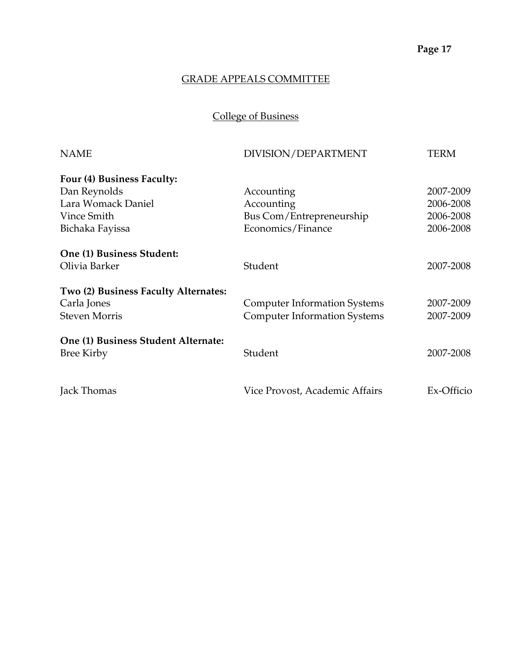# College of Business

| <b>NAME</b>                          | DIVISION/DEPARTMENT                 | TERM       |
|--------------------------------------|-------------------------------------|------------|
| Four (4) Business Faculty:           |                                     |            |
| Dan Reynolds                         | Accounting                          | 2007-2009  |
| Lara Womack Daniel                   | Accounting                          | 2006-2008  |
| Vince Smith                          | Bus Com/Entrepreneurship            | 2006-2008  |
| Bichaka Fayissa                      | Economics/Finance                   | 2006-2008  |
| One (1) Business Student:            |                                     |            |
| Olivia Barker                        | Student                             | 2007-2008  |
| Two (2) Business Faculty Alternates: |                                     |            |
| Carla Jones                          | <b>Computer Information Systems</b> | 2007-2009  |
| <b>Steven Morris</b>                 | <b>Computer Information Systems</b> | 2007-2009  |
| One (1) Business Student Alternate:  |                                     |            |
| <b>Bree Kirby</b>                    | Student                             | 2007-2008  |
| Jack Thomas                          | Vice Provost, Academic Affairs      | Ex-Officio |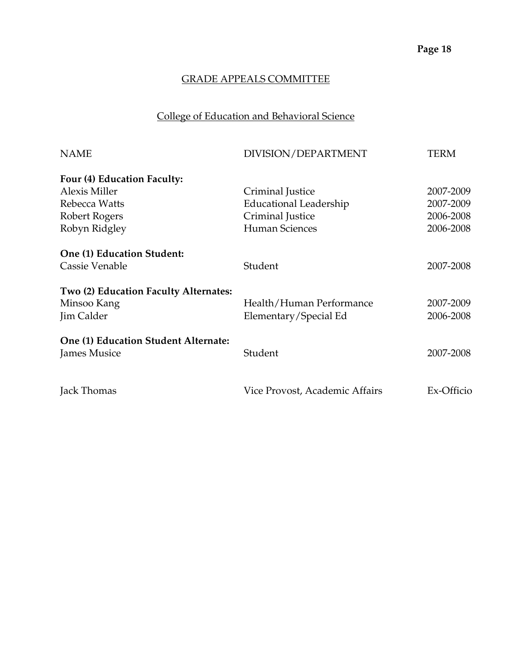# College of Education and Behavioral Science

| <b>NAME</b>                           | DIVISION/DEPARTMENT            | TERM       |
|---------------------------------------|--------------------------------|------------|
| Four (4) Education Faculty:           |                                |            |
| <b>Alexis Miller</b>                  | Criminal Justice               | 2007-2009  |
| Rebecca Watts                         | Educational Leadership         | 2007-2009  |
| Robert Rogers                         | Criminal Justice               | 2006-2008  |
| Robyn Ridgley                         | <b>Human Sciences</b>          | 2006-2008  |
| One (1) Education Student:            |                                |            |
| Cassie Venable                        | Student                        | 2007-2008  |
| Two (2) Education Faculty Alternates: |                                |            |
| Minsoo Kang                           | Health/Human Performance       | 2007-2009  |
| Jim Calder                            | Elementary/Special Ed          | 2006-2008  |
| One (1) Education Student Alternate:  |                                |            |
| <b>James Musice</b>                   | Student                        | 2007-2008  |
| Jack Thomas                           | Vice Provost, Academic Affairs | Ex-Officio |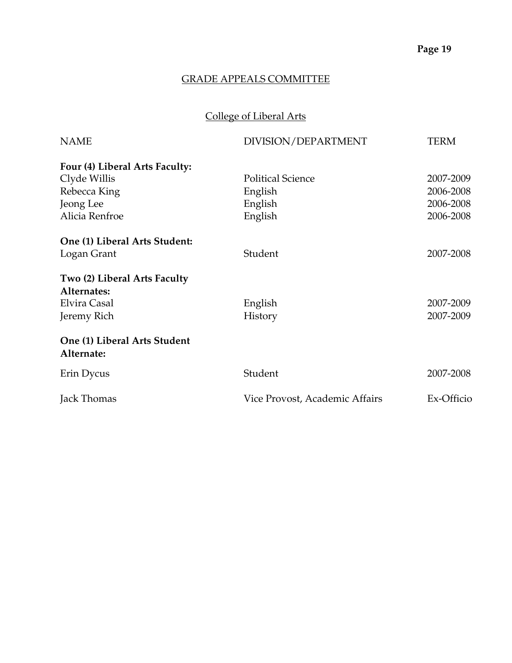# College of Liberal Arts

| <b>NAME</b>                                | DIVISION/DEPARTMENT            | <b>TERM</b> |
|--------------------------------------------|--------------------------------|-------------|
| Four (4) Liberal Arts Faculty:             |                                |             |
| Clyde Willis                               | <b>Political Science</b>       | 2007-2009   |
| Rebecca King                               | English                        | 2006-2008   |
| Jeong Lee                                  | English                        | 2006-2008   |
| Alicia Renfroe                             | English                        | 2006-2008   |
| One (1) Liberal Arts Student:              |                                |             |
| Logan Grant                                | Student                        | 2007-2008   |
| Two (2) Liberal Arts Faculty               |                                |             |
| Alternates:                                |                                |             |
| Elvira Casal                               | English                        | 2007-2009   |
| Jeremy Rich                                | <b>History</b>                 | 2007-2009   |
| One (1) Liberal Arts Student<br>Alternate: |                                |             |
| Erin Dycus                                 | Student                        | 2007-2008   |
| Jack Thomas                                | Vice Provost, Academic Affairs | Ex-Officio  |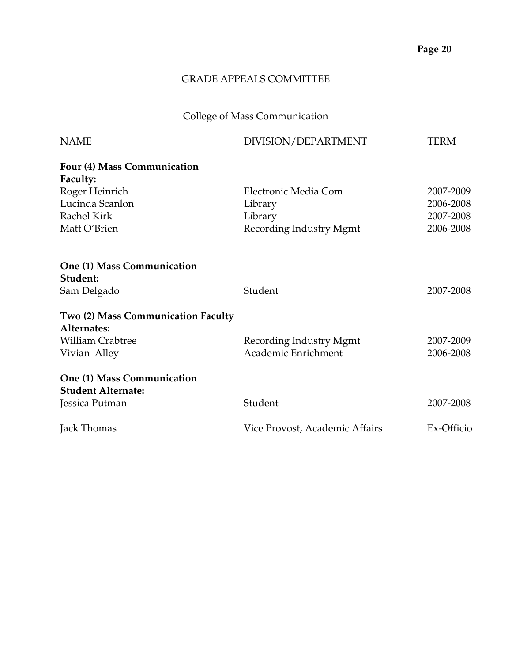# College of Mass Communication

| <b>NAME</b>                            | DIVISION/DEPARTMENT            | <b>TERM</b> |
|----------------------------------------|--------------------------------|-------------|
| Four (4) Mass Communication            |                                |             |
| <b>Faculty:</b>                        |                                |             |
| Roger Heinrich                         | Electronic Media Com           | 2007-2009   |
| Lucinda Scanlon                        | Library                        | 2006-2008   |
| Rachel Kirk                            | Library                        | 2007-2008   |
| Matt O'Brien                           | Recording Industry Mgmt        | 2006-2008   |
| One (1) Mass Communication<br>Student: |                                |             |
| Sam Delgado                            | Student                        | 2007-2008   |
|                                        |                                |             |
| Two (2) Mass Communication Faculty     |                                |             |
| Alternates:                            |                                |             |
| <b>William Crabtree</b>                | Recording Industry Mgmt        | 2007-2009   |
| Vivian Alley                           | Academic Enrichment            | 2006-2008   |
| One (1) Mass Communication             |                                |             |
| <b>Student Alternate:</b>              |                                |             |
| Jessica Putman                         | Student                        | 2007-2008   |
| Jack Thomas                            | Vice Provost, Academic Affairs | Ex-Officio  |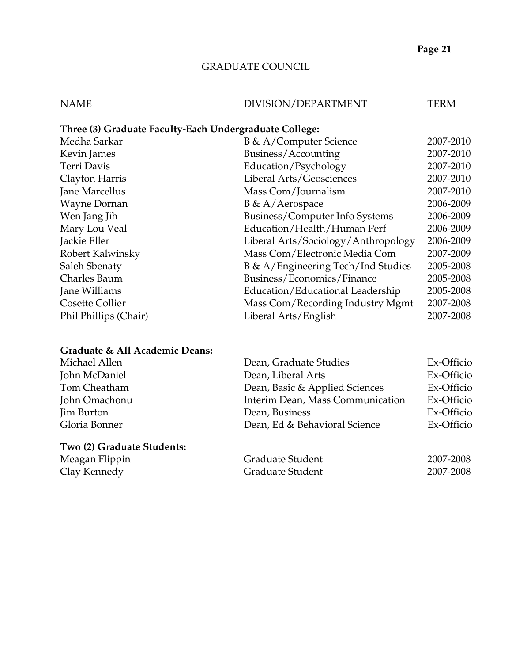# GRADUATE COUNCIL

## NAME DIVISION/DEPARTMENT TERM

| Three (3) Graduate Faculty-Each Undergraduate College: |           |  |  |  |
|--------------------------------------------------------|-----------|--|--|--|
| B & A/Computer Science                                 | 2007-2010 |  |  |  |
| 2007-2010<br>Business/Accounting                       |           |  |  |  |
| Education/Psychology                                   | 2007-2010 |  |  |  |
| Liberal Arts/Geosciences                               | 2007-2010 |  |  |  |
| Mass Com/Journalism                                    | 2007-2010 |  |  |  |
| B & A/Aerospace                                        | 2006-2009 |  |  |  |
| Business/Computer Info Systems                         | 2006-2009 |  |  |  |
| Education/Health/Human Perf                            | 2006-2009 |  |  |  |
| Liberal Arts/Sociology/Anthropology                    | 2006-2009 |  |  |  |
| Mass Com/Electronic Media Com                          | 2007-2009 |  |  |  |
| B & A/Engineering Tech/Ind Studies                     | 2005-2008 |  |  |  |
| Business/Economics/Finance                             | 2005-2008 |  |  |  |
| Education/Educational Leadership                       | 2005-2008 |  |  |  |
| Mass Com/Recording Industry Mgmt                       | 2007-2008 |  |  |  |
| Liberal Arts/English                                   | 2007-2008 |  |  |  |
|                                                        |           |  |  |  |

# **Graduate & All Academic Deans:**

| Michael Allen              | Dean, Graduate Studies           | Ex-Officio |
|----------------------------|----------------------------------|------------|
| John McDaniel              | Dean, Liberal Arts               | Ex-Officio |
| Tom Cheatham               | Dean, Basic & Applied Sciences   | Ex-Officio |
| John Omachonu              | Interim Dean, Mass Communication | Ex-Officio |
| <b>Jim Burton</b>          | Dean, Business                   | Ex-Officio |
| Gloria Bonner              | Dean, Ed & Behavioral Science    | Ex-Officio |
| Two (2) Graduate Students: |                                  |            |

| Meagan Flippin | Graduate Student | 2007-2008 |
|----------------|------------------|-----------|
| Clay Kennedy   | Graduate Student | 2007-2008 |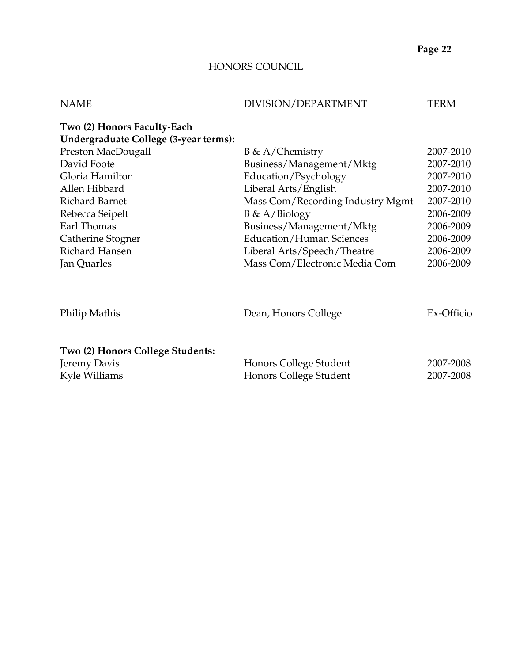## HONORS COUNCIL

| <b>NAME</b>                                                          | DIVISION/DEPARTMENT                              | <b>TERM</b>            |
|----------------------------------------------------------------------|--------------------------------------------------|------------------------|
| Two (2) Honors Faculty-Each<br>Undergraduate College (3-year terms): |                                                  |                        |
| Preston MacDougall                                                   | $B \& A/Chemistry$                               | 2007-2010              |
| David Foote                                                          | Business/Management/Mktg                         | 2007-2010              |
| Gloria Hamilton                                                      | Education/Psychology                             | 2007-2010              |
| Allen Hibbard                                                        | Liberal Arts/English                             | 2007-2010              |
| <b>Richard Barnet</b>                                                | Mass Com/Recording Industry Mgmt                 | 2007-2010              |
| Rebecca Seipelt                                                      | $B \& A/Biology$                                 | 2006-2009              |
| Earl Thomas                                                          | Business/Management/Mktg                         | 2006-2009              |
| Catherine Stogner                                                    | <b>Education/Human Sciences</b>                  | 2006-2009              |
| Richard Hansen                                                       | Liberal Arts/Speech/Theatre                      | 2006-2009              |
| Jan Quarles                                                          | Mass Com/Electronic Media Com                    | 2006-2009              |
| Philip Mathis                                                        | Dean, Honors College                             | Ex-Officio             |
| Two (2) Honors College Students:<br>Jeremy Davis<br>Kyle Williams    | Honors College Student<br>Honors College Student | 2007-2008<br>2007-2008 |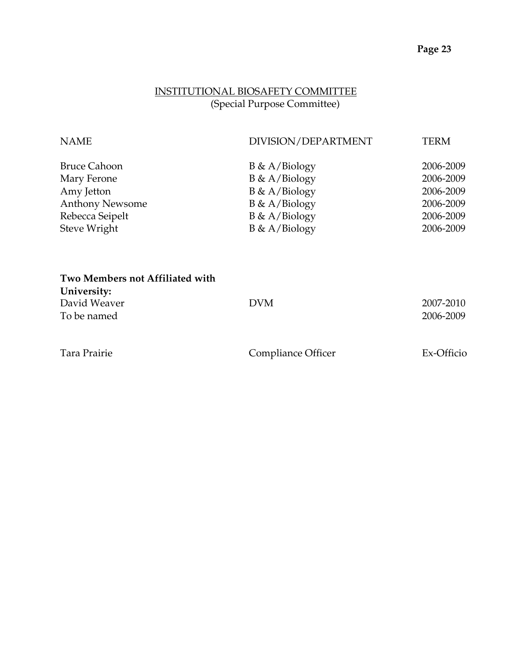## INSTITUTIONAL BIOSAFETY COMMITTEE (Special Purpose Committee)

| <b>NAME</b>            | DIVISION/DEPARTMENT | TERM      |
|------------------------|---------------------|-----------|
| <b>Bruce Cahoon</b>    | $B \& A/Biology$    | 2006-2009 |
| Mary Ferone            | $B \& A/Biology$    | 2006-2009 |
| Amy Jetton             | $B \& A/Biology$    | 2006-2009 |
| <b>Anthony Newsome</b> | $B \& A/Biology$    | 2006-2009 |
| Rebecca Seipelt        | $B \& A/Biology$    | 2006-2009 |
| Steve Wright           | $B \& A/Biology$    | 2006-2009 |
|                        |                     |           |
|                        |                     |           |

| University:  |            |           |
|--------------|------------|-----------|
| David Weaver | <b>DVM</b> | 2007-2010 |
| To be named  |            | 2006-2009 |
|              |            |           |
|              |            |           |

**Two Members not Affiliated with** 

Tara Prairie Compliance Officer Ex-Officio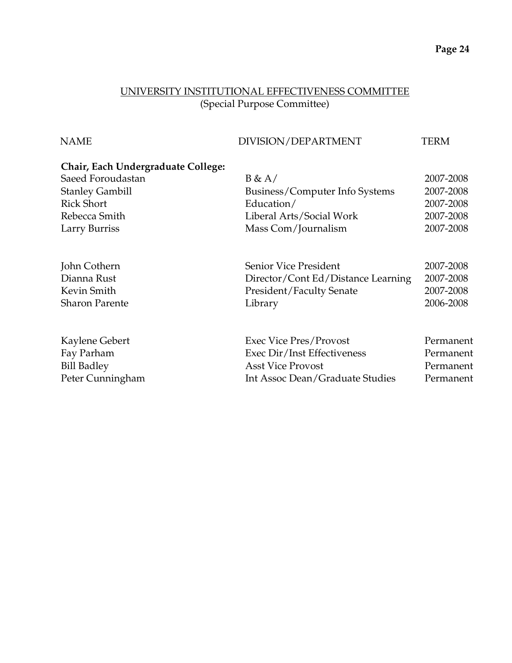# UNIVERSITY INSTITUTIONAL EFFECTIVENESS COMMITTEE (Special Purpose Committee)

| Chair, Each Undergraduate College:                       |           |
|----------------------------------------------------------|-----------|
| Saeed Foroudastan<br>B & A/                              | 2007-2008 |
| <b>Stanley Gambill</b><br>Business/Computer Info Systems | 2007-2008 |
| <b>Rick Short</b><br>Education/                          | 2007-2008 |
| Rebecca Smith<br>Liberal Arts/Social Work                | 2007-2008 |
| Larry Burriss<br>Mass Com/Journalism                     | 2007-2008 |
| John Cothern<br>Senior Vice President                    | 2007-2008 |
| Dianna Rust<br>Director/Cont Ed/Distance Learning        | 2007-2008 |
| Kevin Smith<br><b>President/Faculty Senate</b>           | 2007-2008 |
| <b>Sharon Parente</b><br>Library                         | 2006-2008 |
| Kaylene Gebert<br><b>Exec Vice Pres/Provost</b>          | Permanent |
| Fay Parham<br>Exec Dir/Inst Effectiveness                | Permanent |
| <b>Bill Badley</b><br><b>Asst Vice Provost</b>           | Permanent |
| Peter Cunningham<br>Int Assoc Dean/Graduate Studies      | Permanent |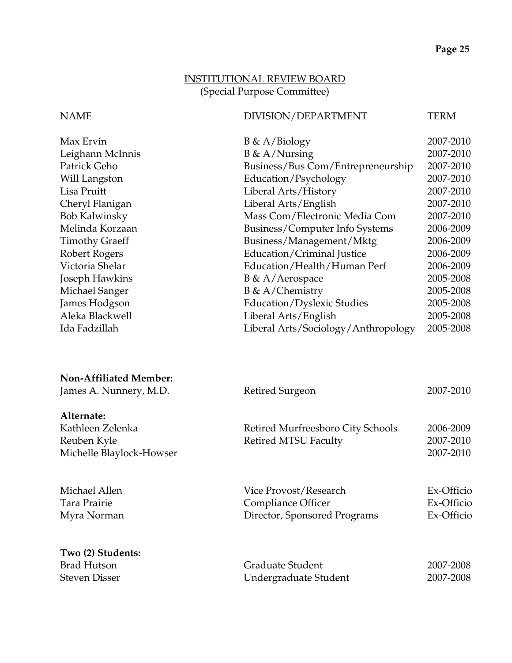## INSTITUTIONAL REVIEW BOARD (Special Purpose Committee)

#### NAME DIVISION/DEPARTMENT TERM

| Max Ervin             | $B \& A/Biology$                    | 2007-2010 |
|-----------------------|-------------------------------------|-----------|
| Leighann McInnis      | $B \& A/Nursing$                    | 2007-2010 |
| Patrick Geho          | Business/Bus Com/Entrepreneurship   | 2007-2010 |
| Will Langston         | Education/Psychology                | 2007-2010 |
| Lisa Pruitt           | Liberal Arts/History                | 2007-2010 |
| Cheryl Flanigan       | Liberal Arts/English                | 2007-2010 |
| <b>Bob Kalwinsky</b>  | Mass Com/Electronic Media Com       | 2007-2010 |
| Melinda Korzaan       | Business/Computer Info Systems      | 2006-2009 |
| <b>Timothy Graeff</b> | Business/Management/Mktg            | 2006-2009 |
| Robert Rogers         | Education/Criminal Justice          | 2006-2009 |
| Victoria Shelar       | Education/Health/Human Perf         | 2006-2009 |
| Joseph Hawkins        | $B \& A/Aerospace$                  | 2005-2008 |
| Michael Sanger        | $B \& A/Chemistry$                  | 2005-2008 |
| James Hodgson         | Education/Dyslexic Studies          | 2005-2008 |
| Aleka Blackwell       | Liberal Arts/English                | 2005-2008 |
| Ida Fadzillah         | Liberal Arts/Sociology/Anthropology | 2005-2008 |
|                       |                                     |           |

| Non-Affiliated Member:<br>James A. Nunnery, M.D.                | Retired Surgeon                                                             | 2007-2010                              |
|-----------------------------------------------------------------|-----------------------------------------------------------------------------|----------------------------------------|
|                                                                 |                                                                             |                                        |
| Alternate:                                                      |                                                                             |                                        |
| Kathleen Zelenka                                                | Retired Murfreesboro City Schools                                           | 2006-2009                              |
| Reuben Kyle                                                     | <b>Retired MTSU Faculty</b>                                                 | 2007-2010                              |
| Michelle Blaylock-Howser                                        |                                                                             | 2007-2010                              |
| Michael Allen<br>Tara Prairie<br>Myra Norman                    | Vice Provost/Research<br>Compliance Officer<br>Director, Sponsored Programs | Ex-Officio<br>Ex-Officio<br>Ex-Officio |
| Two (2) Students:<br><b>Brad Hutson</b><br><b>Steven Disser</b> | Graduate Student<br>Undergraduate Student                                   | 2007-2008<br>2007-2008                 |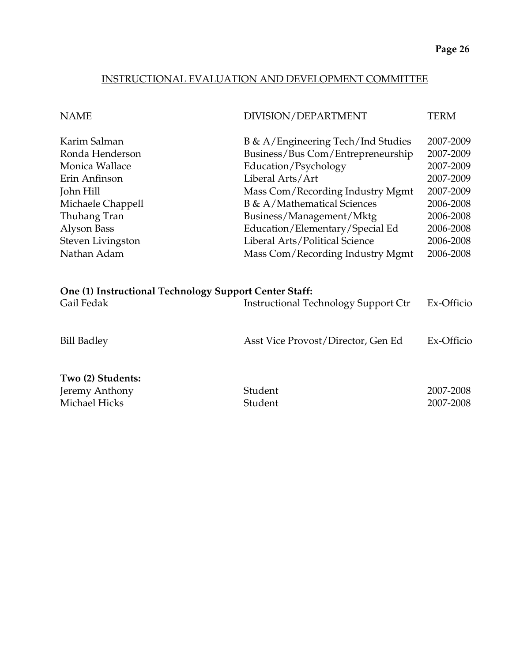## INSTRUCTIONAL EVALUATION AND DEVELOPMENT COMMITTEE

| <b>NAME</b>                                            | DIVISION/DEPARTMENT                         | TERM       |
|--------------------------------------------------------|---------------------------------------------|------------|
| Karim Salman                                           | B & A/Engineering Tech/Ind Studies          | 2007-2009  |
| Ronda Henderson                                        | Business/Bus Com/Entrepreneurship           | 2007-2009  |
| Monica Wallace                                         | Education/Psychology                        | 2007-2009  |
| Erin Anfinson                                          | Liberal Arts/Art                            | 2007-2009  |
| John Hill                                              | Mass Com/Recording Industry Mgmt            | 2007-2009  |
| Michaele Chappell                                      | <b>B</b> & A/Mathematical Sciences          | 2006-2008  |
| Thuhang Tran                                           | Business/Management/Mktg                    | 2006-2008  |
| Alyson Bass                                            | Education/Elementary/Special Ed             | 2006-2008  |
| Steven Livingston                                      | Liberal Arts/Political Science              | 2006-2008  |
| Nathan Adam                                            | Mass Com/Recording Industry Mgmt            | 2006-2008  |
| One (1) Instructional Technology Support Center Staff: |                                             |            |
| Gail Fedak                                             | <b>Instructional Technology Support Ctr</b> | Ex-Officio |
| <b>Bill Badley</b>                                     | Asst Vice Provost/Director, Gen Ed          | Ex-Officio |
| Two (2) Students:                                      |                                             |            |
| Jeremy Anthony                                         | Student                                     | 2007-2008  |
| Michael Hicks                                          | Student                                     | 2007-2008  |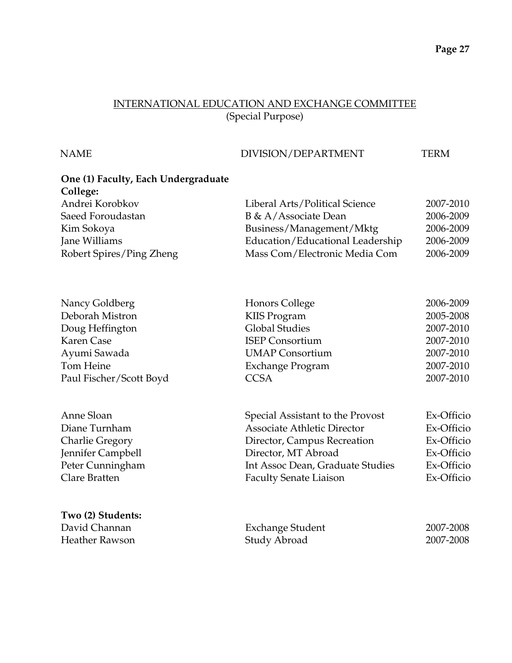#### INTERNATIONAL EDUCATION AND EXCHANGE COMMITTEE (Special Purpose)

#### NAME DIVISION/DEPARTMENT TERM

# **One (1) Faculty, Each Undergraduate College:** Andrei Korobkov Liberal Arts/Political Science 2007-2010 Saeed Foroudastan B & A/Associate Dean 2006-2009 Kim Sokoya Business/Management/Mktg 2006-2009 Jane Williams Education/Educational Leadership 2006-2009 Robert Spires/Ping Zheng Mass Com/Electronic Media Com 2006-2009 Nancy Goldberg **Honors College** 2006-2009 Deborah Mistron KIIS Program 2005-2008 Doug Heffington Global Studies 2007-2010 Karen Case ISEP Consortium 2007-2010 Ayumi Sawada UMAP Consortium 2007-2010 Tom Heine Exchange Program 2007-2010 Paul Fischer/Scott Boyd CCSA 2007-2010 Anne Sloan Special Assistant to the Provost Ex-Officio Diane Turnham Associate Athletic Director Ex-Officio Charlie Gregory Director, Campus Recreation Ex-Officio Jennifer Campbell Director, MT Abroad Ex-Officio Peter Cunningham Int Assoc Dean, Graduate Studies Ex-Officio Clare Bratten Faculty Senate Liaison Ex-Officio **Two (2) Students:** David Channan Exchange Student 2007-2008 Heather Rawson Study Abroad 2007-2008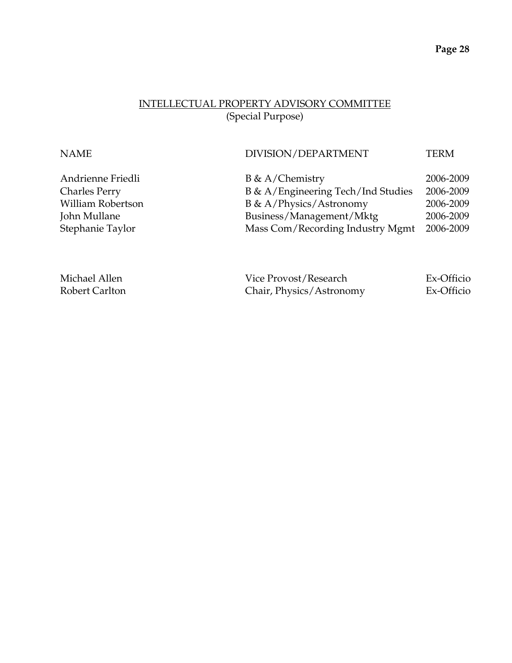# INTELLECTUAL PROPERTY ADVISORY COMMITTEE (Special Purpose)

| <b>NAME</b>          | DIVISION/DEPARTMENT                | <b>TERM</b> |
|----------------------|------------------------------------|-------------|
| Andrienne Friedli    | $B \& A/Chemistry$                 | 2006-2009   |
| <b>Charles Perry</b> | B & A/Engineering Tech/Ind Studies | 2006-2009   |
| William Robertson    | B & A/Physics/Astronomy            | 2006-2009   |
| John Mullane         | Business/Management/Mktg           | 2006-2009   |
| Stephanie Taylor     | Mass Com/Recording Industry Mgmt   | 2006-2009   |
|                      |                                    |             |
|                      |                                    |             |
|                      |                                    |             |

| Michael Allen  | Vice Provost/Research    | Ex-Officio |
|----------------|--------------------------|------------|
| Robert Carlton | Chair, Physics/Astronomy | Ex-Officio |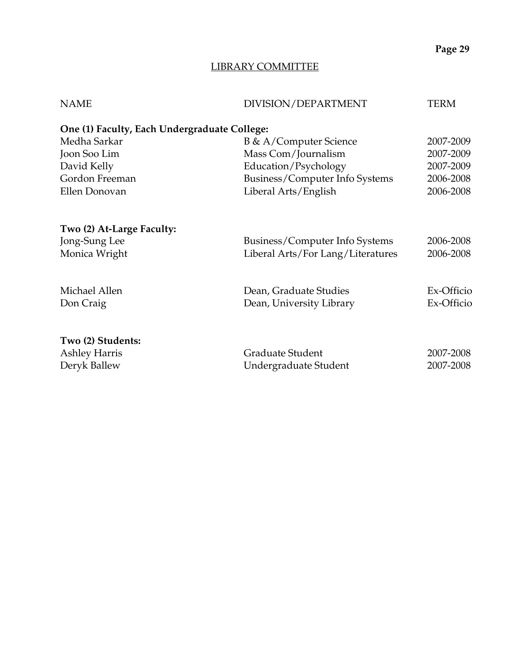## LIBRARY COMMITTEE

| <b>NAME</b>                                  | DIVISION/DEPARTMENT               | TERM       |
|----------------------------------------------|-----------------------------------|------------|
| One (1) Faculty, Each Undergraduate College: |                                   |            |
| Medha Sarkar                                 | B & A/Computer Science            | 2007-2009  |
| Joon Soo Lim                                 | Mass Com/Journalism               | 2007-2009  |
| David Kelly                                  | Education/Psychology              | 2007-2009  |
| Gordon Freeman                               | Business/Computer Info Systems    | 2006-2008  |
| Ellen Donovan                                | Liberal Arts/English              | 2006-2008  |
|                                              |                                   |            |
| Two (2) At-Large Faculty:                    |                                   |            |
| Jong-Sung Lee                                | Business/Computer Info Systems    | 2006-2008  |
| Monica Wright                                | Liberal Arts/For Lang/Literatures | 2006-2008  |
|                                              |                                   |            |
| Michael Allen                                | Dean, Graduate Studies            | Ex-Officio |
| Don Craig                                    | Dean, University Library          | Ex-Officio |
|                                              |                                   |            |
| Two (2) Students:                            |                                   |            |
| <b>Ashley Harris</b>                         | Graduate Student                  | 2007-2008  |
| Deryk Ballew                                 | Undergraduate Student             | 2007-2008  |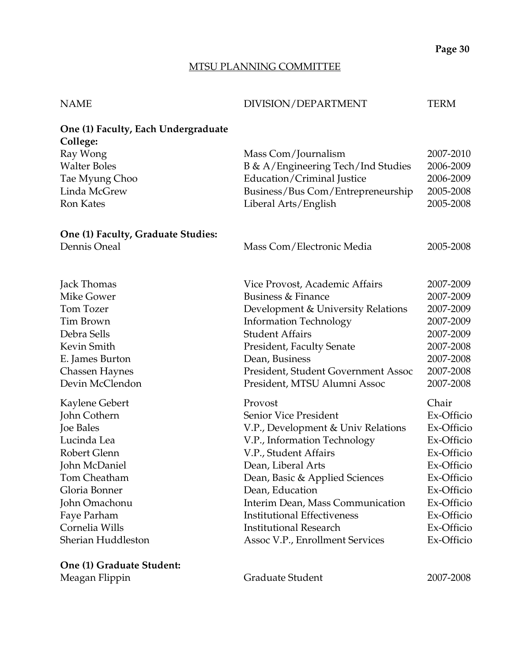#### MTSU PLANNING COMMITTEE

| <b>NAME</b>                                     | DIVISION/DEPARTMENT                 | TERM       |
|-------------------------------------------------|-------------------------------------|------------|
| One (1) Faculty, Each Undergraduate<br>College: |                                     |            |
| Ray Wong                                        | Mass Com/Journalism                 | 2007-2010  |
| <b>Walter Boles</b>                             | B & A/Engineering Tech/Ind Studies  | 2006-2009  |
| Tae Myung Choo                                  | Education/Criminal Justice          | 2006-2009  |
| Linda McGrew                                    | Business/Bus Com/Entrepreneurship   | 2005-2008  |
| <b>Ron Kates</b>                                | Liberal Arts/English                | 2005-2008  |
| One (1) Faculty, Graduate Studies:              |                                     |            |
| Dennis Oneal                                    | Mass Com/Electronic Media           | 2005-2008  |
| Jack Thomas                                     | Vice Provost, Academic Affairs      | 2007-2009  |
| Mike Gower                                      | Business & Finance                  | 2007-2009  |
| Tom Tozer                                       | Development & University Relations  | 2007-2009  |
| Tim Brown                                       | <b>Information Technology</b>       | 2007-2009  |
| Debra Sells                                     | <b>Student Affairs</b>              | 2007-2009  |
| Kevin Smith                                     | President, Faculty Senate           | 2007-2008  |
| E. James Burton                                 | Dean, Business                      | 2007-2008  |
| <b>Chassen Haynes</b>                           | President, Student Government Assoc | 2007-2008  |
| Devin McClendon                                 | President, MTSU Alumni Assoc        | 2007-2008  |
| Kaylene Gebert                                  | Provost                             | Chair      |
| John Cothern                                    | Senior Vice President               | Ex-Officio |
| Joe Bales                                       | V.P., Development & Univ Relations  | Ex-Officio |
| Lucinda Lea                                     | V.P., Information Technology        | Ex-Officio |
| Robert Glenn                                    | V.P., Student Affairs               | Ex-Officio |
| John McDaniel                                   | Dean, Liberal Arts                  | Ex-Officio |
| Tom Cheatham                                    | Dean, Basic & Applied Sciences      | Ex-Officio |
| Gloria Bonner                                   | Dean, Education                     | Ex-Officio |
| John Omachonu                                   | Interim Dean, Mass Communication    | Ex-Officio |
| Faye Parham                                     | <b>Institutional Effectiveness</b>  | Ex-Officio |
| Cornelia Wills                                  | <b>Institutional Research</b>       | Ex-Officio |
| Sherian Huddleston                              | Assoc V.P., Enrollment Services     | Ex-Officio |
| One (1) Creducto Students                       |                                     |            |

**One (1) Graduate Student:** 

Meagan Flippin **Canaduate Student** 2007-2008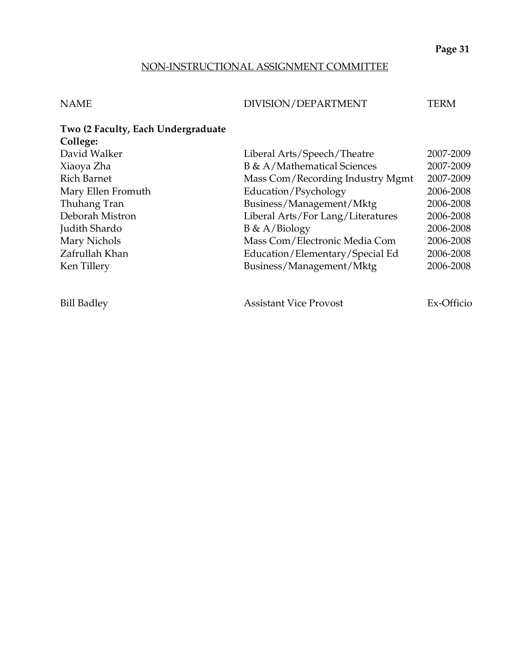## NON-INSTRUCTIONAL ASSIGNMENT COMMITTEE

## NAME DIVISION/DEPARTMENT TERM

| Two (2 Faculty, Each Undergraduate |                                   |           |
|------------------------------------|-----------------------------------|-----------|
| College:                           |                                   |           |
| David Walker                       | Liberal Arts/Speech/Theatre       | 2007-2009 |
| Xiaoya Zha                         | B & A/Mathematical Sciences       | 2007-2009 |
| Rich Barnet                        | Mass Com/Recording Industry Mgmt  | 2007-2009 |
| Mary Ellen Fromuth                 | Education/Psychology              | 2006-2008 |
| Thuhang Tran                       | Business/Management/Mktg          | 2006-2008 |
| Deborah Mistron                    | Liberal Arts/For Lang/Literatures | 2006-2008 |
| Judith Shardo                      | $B \& A/Biology$                  | 2006-2008 |
| Mary Nichols                       | Mass Com/Electronic Media Com     | 2006-2008 |
| Zafrullah Khan                     | Education/Elementary/Special Ed   | 2006-2008 |
| Ken Tillery                        | Business/Management/Mktg          | 2006-2008 |
|                                    |                                   |           |
|                                    |                                   |           |

Bill Badley **Assistant Vice Provost** Ex-Officio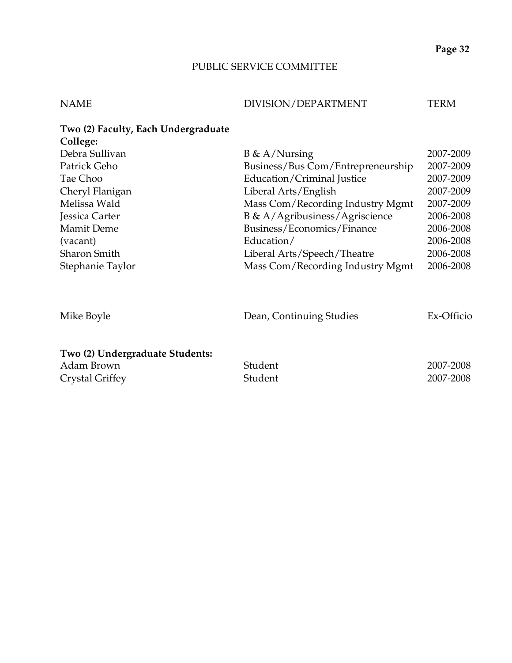# PUBLIC SERVICE COMMITTEE

# NAME DIVISION/DEPARTMENT TERM

| Two (2) Faculty, Each Undergraduate |                                   |            |
|-------------------------------------|-----------------------------------|------------|
| College:                            |                                   |            |
| Debra Sullivan                      | $B \& A/Nursing$                  | 2007-2009  |
| Patrick Geho                        | Business/Bus Com/Entrepreneurship | 2007-2009  |
| Tae Choo                            | Education/Criminal Justice        | 2007-2009  |
| Cheryl Flanigan                     | Liberal Arts/English              | 2007-2009  |
| Melissa Wald                        | Mass Com/Recording Industry Mgmt  | 2007-2009  |
| Jessica Carter                      | B & A/Agribusiness/Agriscience    | 2006-2008  |
| <b>Mamit Deme</b>                   | Business/Economics/Finance        | 2006-2008  |
| (vacant)                            | Education/                        | 2006-2008  |
| <b>Sharon Smith</b>                 | Liberal Arts/Speech/Theatre       | 2006-2008  |
| Stephanie Taylor                    | Mass Com/Recording Industry Mgmt  | 2006-2008  |
| Mike Boyle                          | Dean, Continuing Studies          | Ex-Officio |
| Two (2) Undergraduate Students:     |                                   |            |
| Adam Brown                          | Student                           | 2007-2008  |
| Crystal Griffey                     | Student                           | 2007-2008  |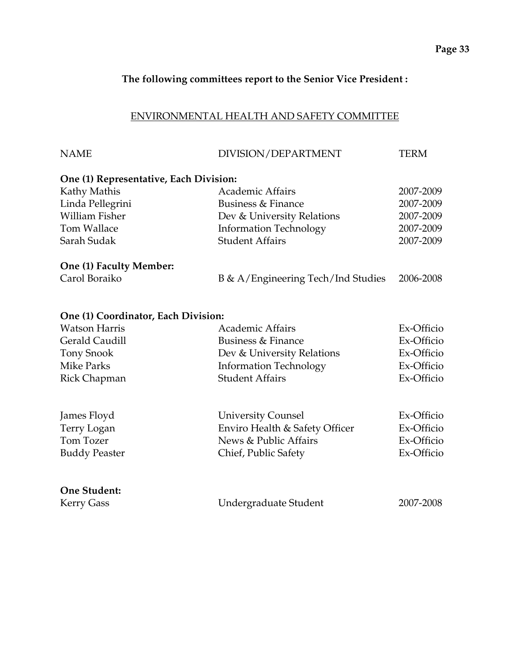## **The following committees report to the Senior Vice President :**

## ENVIRONMENTAL HEALTH AND SAFETY COMMITTEE

| <b>NAME</b>                            | DIVISION/DEPARTMENT                | <b>TERM</b> |
|----------------------------------------|------------------------------------|-------------|
| One (1) Representative, Each Division: |                                    |             |
| Kathy Mathis                           | <b>Academic Affairs</b>            | 2007-2009   |
| Linda Pellegrini                       | Business & Finance                 | 2007-2009   |
| <b>William Fisher</b>                  | Dev & University Relations         | 2007-2009   |
| Tom Wallace                            | <b>Information Technology</b>      | 2007-2009   |
| Sarah Sudak                            | <b>Student Affairs</b>             | 2007-2009   |
| One (1) Faculty Member:                |                                    |             |
| Carol Boraiko                          | B & A/Engineering Tech/Ind Studies | 2006-2008   |
| One (1) Coordinator, Each Division:    |                                    |             |
| <b>Watson Harris</b>                   | <b>Academic Affairs</b>            | Ex-Officio  |
| Gerald Caudill                         | <b>Business &amp; Finance</b>      | Ex-Officio  |
| <b>Tony Snook</b>                      | Dev & University Relations         | Ex-Officio  |
| <b>Mike Parks</b>                      | <b>Information Technology</b>      | Ex-Officio  |
| Rick Chapman                           | <b>Student Affairs</b>             | Ex-Officio  |
| James Floyd                            | <b>University Counsel</b>          | Ex-Officio  |
| Terry Logan                            | Enviro Health & Safety Officer     | Ex-Officio  |
| Tom Tozer                              | News & Public Affairs              | Ex-Officio  |
| <b>Buddy Peaster</b>                   | Chief, Public Safety               | Ex-Officio  |
| <b>One Student:</b>                    |                                    |             |
| <b>Kerry Gass</b>                      | Undergraduate Student              | 2007-2008   |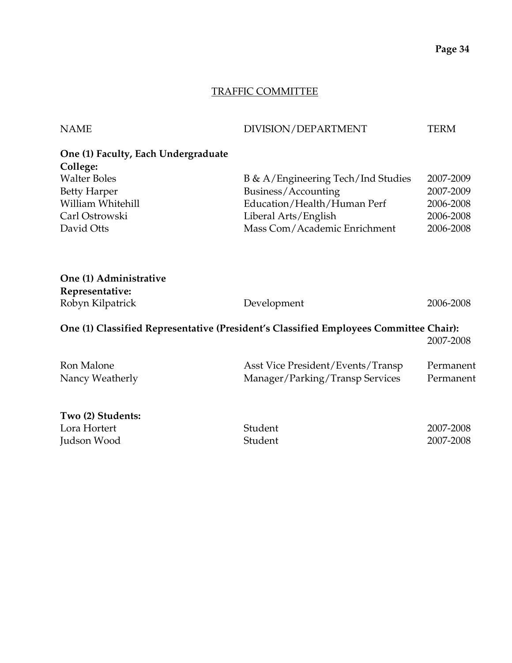### TRAFFIC COMMITTEE

| <b>NAME</b>                         | DIVISION/DEPARTMENT                                                                   | <b>TERM</b> |
|-------------------------------------|---------------------------------------------------------------------------------------|-------------|
| One (1) Faculty, Each Undergraduate |                                                                                       |             |
| College:                            |                                                                                       |             |
| <b>Walter Boles</b>                 | B & A/Engineering Tech/Ind Studies                                                    | 2007-2009   |
| <b>Betty Harper</b>                 | Business/Accounting                                                                   | 2007-2009   |
| William Whitehill                   | Education/Health/Human Perf                                                           | 2006-2008   |
| Carl Ostrowski                      | Liberal Arts/English                                                                  | 2006-2008   |
| David Otts                          | Mass Com/Academic Enrichment                                                          | 2006-2008   |
| One (1) Administrative              |                                                                                       |             |
|                                     |                                                                                       |             |
| Representative:                     |                                                                                       | 2006-2008   |
| Robyn Kilpatrick                    | Development                                                                           |             |
|                                     | One (1) Classified Representative (President's Classified Employees Committee Chair): | 2007-2008   |
| Ron Malone                          | Asst Vice President/Events/Transp                                                     | Permanent   |
| Nancy Weatherly                     | Manager/Parking/Transp Services                                                       | Permanent   |
| Two (2) Students:                   |                                                                                       |             |

| Student | 2007-2008 |
|---------|-----------|
| Student | 2007-2008 |
|         |           |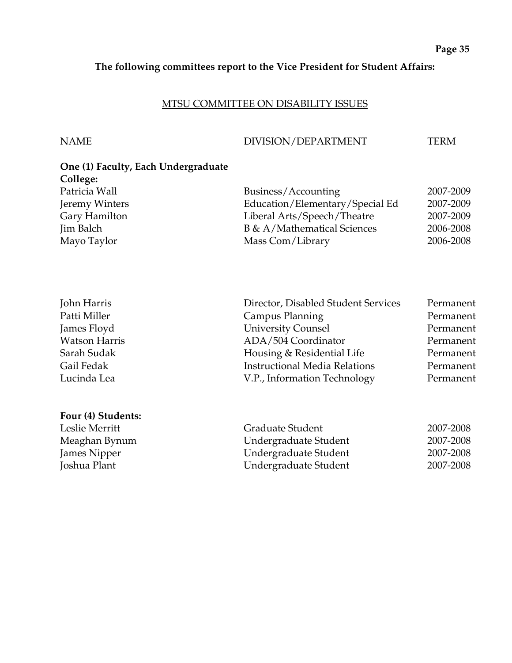#### **The following committees report to the Vice President for Student Affairs:**

#### MTSU COMMITTEE ON DISABILITY ISSUES

**Four (4) Students:** 

#### NAME DIVISION/DEPARTMENT TERM

# **One (1) Faculty, Each Undergraduate College:**  Patricia Wall **Business/Accounting** 2007-2009 Jeremy Winters Education/Elementary/Special Ed 2007-2009 Gary Hamilton Liberal Arts/Speech/Theatre 2007-2009 Jim Balch B & A/Mathematical Sciences 2006-2008 Mayo Taylor Mass Com/Library 2006-2008

| John Harris          | Director, Disabled Student Services  | Permanent |
|----------------------|--------------------------------------|-----------|
| Patti Miller         | Campus Planning                      | Permanent |
| James Floyd          | <b>University Counsel</b>            | Permanent |
| <b>Watson Harris</b> | ADA/504 Coordinator                  | Permanent |
| Sarah Sudak          | Housing & Residential Life           | Permanent |
| Gail Fedak           | <b>Instructional Media Relations</b> | Permanent |
| Lucinda Lea          | V.P., Information Technology         | Permanent |
|                      |                                      |           |

| Leslie Merritt | Graduate Student      | 2007-2008 |
|----------------|-----------------------|-----------|
| Meaghan Bynum  | Undergraduate Student | 2007-2008 |
| James Nipper   | Undergraduate Student | 2007-2008 |
| Joshua Plant   | Undergraduate Student | 2007-2008 |
|                |                       |           |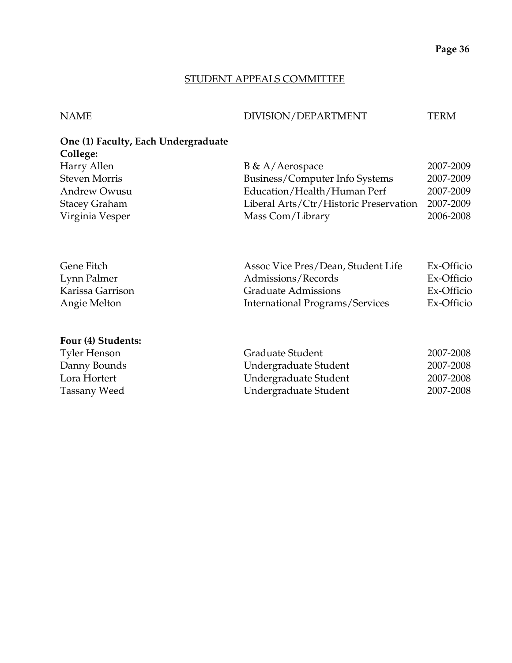#### STUDENT APPEALS COMMITTEE

#### NAME DIVISION/DEPARTMENT TERM

# **One (1) Faculty, Each Undergraduate College:**

| $B \& A/Aerospace$                     | 2007-2009 |
|----------------------------------------|-----------|
| Business/Computer Info Systems         | 2007-2009 |
| Education/Health/Human Perf            | 2007-2009 |
| Liberal Arts/Ctr/Historic Preservation | 2007-2009 |
| Mass Com/Library                       | 2006-2008 |
|                                        |           |

| Assoc Vice Pres/Dean, Student Life | Ex-Officio |
|------------------------------------|------------|
| Admissions/Records                 | Ex-Officio |
| <b>Graduate Admissions</b>         | Ex-Officio |
| International Programs/Services    | Ex-Officio |
|                                    |            |

#### **Four (4) Students:**

| <b>Tyler Henson</b> | Graduate Student      | 2007-2008 |
|---------------------|-----------------------|-----------|
| Danny Bounds        | Undergraduate Student | 2007-2008 |
| Lora Hortert        | Undergraduate Student | 2007-2008 |
| Tassany Weed        | Undergraduate Student | 2007-2008 |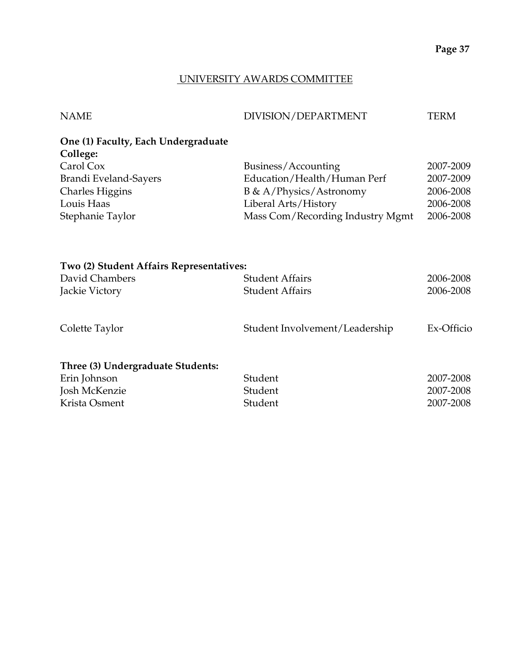## UNIVERSITY AWARDS COMMITTEE

| <b>NAME</b>                                     | DIVISION/DEPARTMENT | <b>TERM</b> |
|-------------------------------------------------|---------------------|-------------|
| One (1) Faculty, Each Undergraduate<br>College: |                     |             |
|                                                 |                     |             |

| Carol Cox              | Business/Accounting              | 2007-2009 |
|------------------------|----------------------------------|-----------|
| Brandi Eveland-Sayers  | Education/Health/Human Perf      | 2007-2009 |
| <b>Charles Higgins</b> | <b>B</b> & A/Physics/Astronomy   | 2006-2008 |
| Louis Haas             | Liberal Arts/History             | 2006-2008 |
| Stephanie Taylor       | Mass Com/Recording Industry Mgmt | 2006-2008 |

| Two (2) Student Affairs Representatives: |                                |            |
|------------------------------------------|--------------------------------|------------|
| David Chambers                           | <b>Student Affairs</b>         | 2006-2008  |
| Jackie Victory                           | <b>Student Affairs</b>         | 2006-2008  |
| Colette Taylor                           | Student Involvement/Leadership | Ex-Officio |
| Three (3) Undergraduate Students:        |                                |            |
| Erin Johnson                             | Student                        | 2007-2008  |
| Josh McKenzie                            | Student                        | 2007-2008  |
| Krista Osment                            | Student                        | 2007-2008  |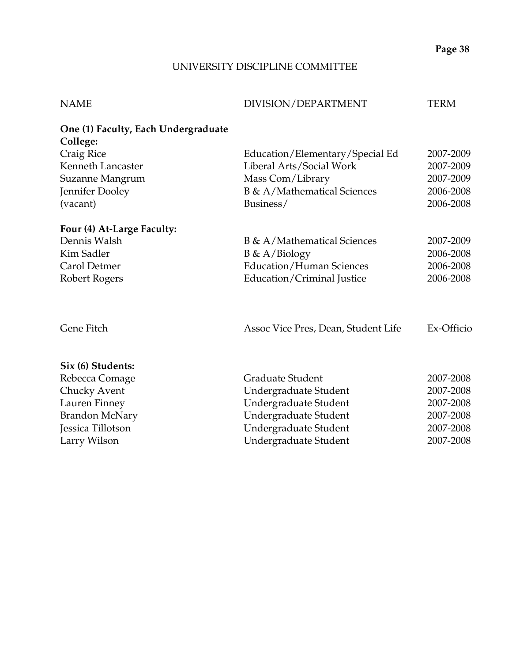# UNIVERSITY DISCIPLINE COMMITTEE

| <b>NAME</b>                                     | DIVISION/DEPARTMENT                 | <b>TERM</b> |
|-------------------------------------------------|-------------------------------------|-------------|
| One (1) Faculty, Each Undergraduate<br>College: |                                     |             |
| Craig Rice                                      | Education/Elementary/Special Ed     | 2007-2009   |
| Kenneth Lancaster                               | Liberal Arts/Social Work            | 2007-2009   |
| Suzanne Mangrum                                 | Mass Com/Library                    | 2007-2009   |
| Jennifer Dooley                                 | B & A/Mathematical Sciences         | 2006-2008   |
| (vacant)                                        | Business/                           | 2006-2008   |
| Four (4) At-Large Faculty:                      |                                     |             |
| Dennis Walsh                                    | <b>B</b> & A/Mathematical Sciences  | 2007-2009   |
| Kim Sadler                                      | $B \& A/Biology$                    | 2006-2008   |
| Carol Detmer                                    | <b>Education/Human Sciences</b>     | 2006-2008   |
| Robert Rogers                                   | Education/Criminal Justice          | 2006-2008   |
| Gene Fitch                                      | Assoc Vice Pres, Dean, Student Life | Ex-Officio  |
| Six (6) Students:                               |                                     |             |
| Rebecca Comage                                  | <b>Graduate Student</b>             | 2007-2008   |
| Chucky Avent                                    | Undergraduate Student               | 2007-2008   |
| Lauren Finney                                   | Undergraduate Student               | 2007-2008   |
| <b>Brandon McNary</b>                           | Undergraduate Student               | 2007-2008   |
| Jessica Tillotson                               | Undergraduate Student               | 2007-2008   |

Larry Wilson **1988** Undergraduate Student 2007-2008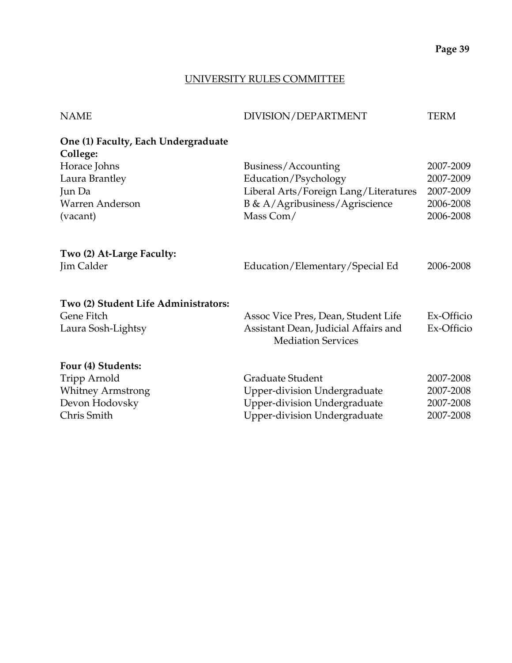## UNIVERSITY RULES COMMITTEE

| <b>NAME</b>                                     | DIVISION/DEPARTMENT                                               | <b>TERM</b> |
|-------------------------------------------------|-------------------------------------------------------------------|-------------|
| One (1) Faculty, Each Undergraduate<br>College: |                                                                   |             |
| Horace Johns                                    | Business/Accounting                                               | 2007-2009   |
| Laura Brantley                                  | Education/Psychology                                              | 2007-2009   |
| Jun Da                                          | Liberal Arts/Foreign Lang/Literatures                             | 2007-2009   |
| Warren Anderson                                 | B & A/Agribusiness/Agriscience                                    | 2006-2008   |
| (vacant)                                        | Mass Com/                                                         | 2006-2008   |
| Two (2) At-Large Faculty:<br>Jim Calder         | Education/Elementary/Special Ed                                   | 2006-2008   |
| Two (2) Student Life Administrators:            |                                                                   |             |
| Gene Fitch                                      | Assoc Vice Pres, Dean, Student Life                               | Ex-Officio  |
| Laura Sosh-Lightsy                              | Assistant Dean, Judicial Affairs and<br><b>Mediation Services</b> | Ex-Officio  |
| Four (4) Students:                              |                                                                   |             |
| Tripp Arnold                                    | Graduate Student                                                  | 2007-2008   |
| <b>Whitney Armstrong</b>                        | <b>Upper-division Undergraduate</b>                               | 2007-2008   |
| Devon Hodovsky                                  | <b>Upper-division Undergraduate</b>                               | 2007-2008   |
| Chris Smith                                     | <b>Upper-division Undergraduate</b>                               | 2007-2008   |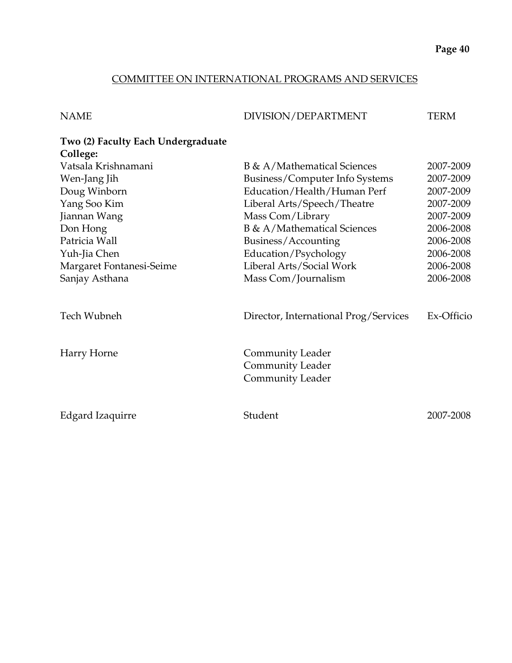## COMMITTEE ON INTERNATIONAL PROGRAMS AND SERVICES

| <b>NAME</b>                        | DIVISION/DEPARTMENT                                                    | <b>TERM</b> |
|------------------------------------|------------------------------------------------------------------------|-------------|
| Two (2) Faculty Each Undergraduate |                                                                        |             |
| College:                           |                                                                        |             |
| Vatsala Krishnamani                | <b>B</b> & A/Mathematical Sciences                                     | 2007-2009   |
| Wen-Jang Jih                       | Business/Computer Info Systems                                         | 2007-2009   |
| Doug Winborn                       | Education/Health/Human Perf                                            | 2007-2009   |
| Yang Soo Kim                       | Liberal Arts/Speech/Theatre                                            | 2007-2009   |
| Jiannan Wang                       | Mass Com/Library                                                       | 2007-2009   |
| Don Hong                           | B & A/Mathematical Sciences                                            | 2006-2008   |
| Patricia Wall                      | Business/Accounting                                                    | 2006-2008   |
| Yuh-Jia Chen                       | Education/Psychology                                                   | 2006-2008   |
| Margaret Fontanesi-Seime           | Liberal Arts/Social Work                                               | 2006-2008   |
| Sanjay Asthana                     | Mass Com/Journalism                                                    | 2006-2008   |
| Tech Wubneh                        | Director, International Prog/Services                                  | Ex-Officio  |
| Harry Horne                        | <b>Community Leader</b><br><b>Community Leader</b><br>Community Leader |             |
| <b>Edgard Izaquirre</b>            | Student                                                                | 2007-2008   |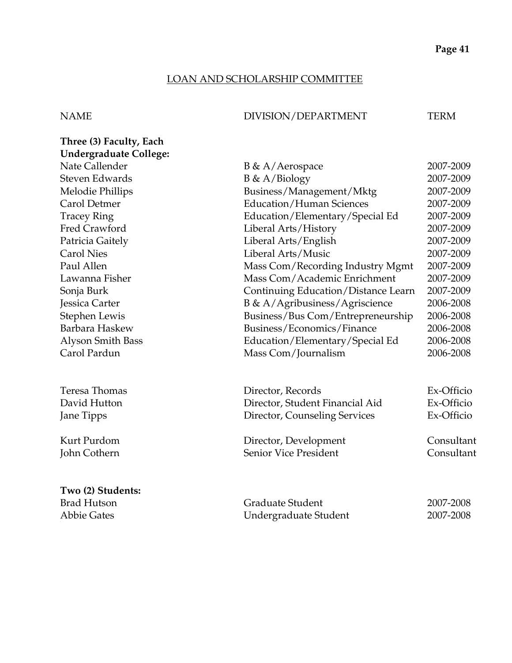## LOAN AND SCHOLARSHIP COMMITTEE

## NAME DIVISION/DEPARTMENT TERM

| Three (3) Faculty, Each       |                                     |            |
|-------------------------------|-------------------------------------|------------|
| <b>Undergraduate College:</b> |                                     |            |
| Nate Callender                | B & A/Aerospace                     | 2007-2009  |
| <b>Steven Edwards</b>         | $B \& A/Biology$                    | 2007-2009  |
| Melodie Phillips              | Business/Management/Mktg            | 2007-2009  |
| Carol Detmer                  | <b>Education/Human Sciences</b>     | 2007-2009  |
| <b>Tracey Ring</b>            | Education/Elementary/Special Ed     | 2007-2009  |
| Fred Crawford                 | Liberal Arts/History                | 2007-2009  |
| Patricia Gaitely              | Liberal Arts/English                | 2007-2009  |
| <b>Carol Nies</b>             | Liberal Arts/Music                  | 2007-2009  |
| Paul Allen                    | Mass Com/Recording Industry Mgmt    | 2007-2009  |
| Lawanna Fisher                | Mass Com/Academic Enrichment        | 2007-2009  |
| Sonja Burk                    | Continuing Education/Distance Learn | 2007-2009  |
| Jessica Carter                | B & A/Agribusiness/Agriscience      | 2006-2008  |
| Stephen Lewis                 | Business/Bus Com/Entrepreneurship   | 2006-2008  |
| Barbara Haskew                | Business/Economics/Finance          | 2006-2008  |
| Alyson Smith Bass             | Education/Elementary/Special Ed     | 2006-2008  |
| Carol Pardun                  | Mass Com/Journalism                 | 2006-2008  |
| Teresa Thomas                 | Director, Records                   | Ex-Officio |
| David Hutton                  | Director, Student Financial Aid     | Ex-Officio |
| Jane Tipps                    | Director, Counseling Services       | Ex-Officio |
| Kurt Purdom                   | Director, Development               | Consultant |
| John Cothern                  | <b>Senior Vice President</b>        | Consultant |
| Two (2) Students:             |                                     |            |
| <b>Brad Hutson</b>            | Graduate Student                    | 2007-2008  |
| <b>Abbie Gates</b>            | Undergraduate Student               | 2007-2008  |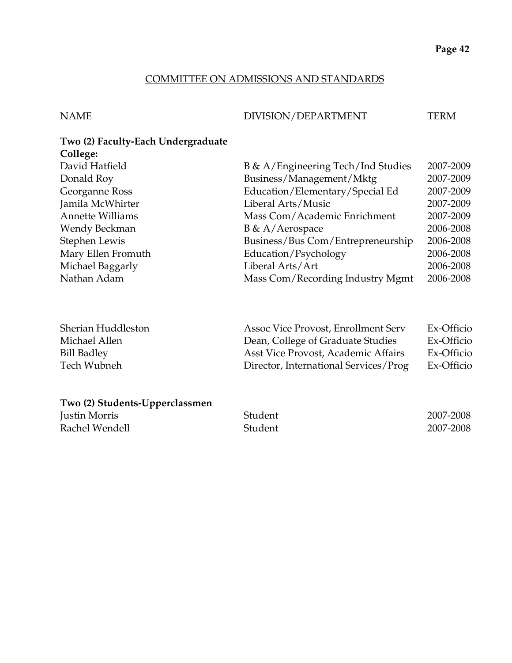#### COMMITTEE ON ADMISSIONS AND STANDARDS

NAME DIVISION/DEPARTMENT TERM

#### **Two (2) Faculty-Each Undergraduate College:**

| $\ddotsc$               |                                    |           |
|-------------------------|------------------------------------|-----------|
| David Hatfield          | B & A/Engineering Tech/Ind Studies | 2007-2009 |
| Donald Roy              | Business/Management/Mktg           | 2007-2009 |
| Georganne Ross          | Education/Elementary/Special Ed    | 2007-2009 |
| Jamila McWhirter        | Liberal Arts/Music                 | 2007-2009 |
| <b>Annette Williams</b> | Mass Com/Academic Enrichment       | 2007-2009 |
| Wendy Beckman           | B & A/Aerospace                    | 2006-2008 |
| Stephen Lewis           | Business/Bus Com/Entrepreneurship  | 2006-2008 |
| Mary Ellen Fromuth      | Education/Psychology               | 2006-2008 |
| Michael Baggarly        | Liberal Arts/Art                   | 2006-2008 |
| Nathan Adam             | Mass Com/Recording Industry Mgmt   | 2006-2008 |
|                         |                                    |           |

| Sherian Huddleston | Assoc Vice Provost, Enrollment Serv   | Ex-Officio |
|--------------------|---------------------------------------|------------|
| Michael Allen      | Dean, College of Graduate Studies     | Ex-Officio |
| Bill Badley        | Asst Vice Provost, Academic Affairs   | Ex-Officio |
| Tech Wubneh        | Director, International Services/Prog | Ex-Officio |

## **Two (2) Students-Upperclassmen**

| Justin Morris  | Student | 2007-2008 |
|----------------|---------|-----------|
| Rachel Wendell | Student | 2007-2008 |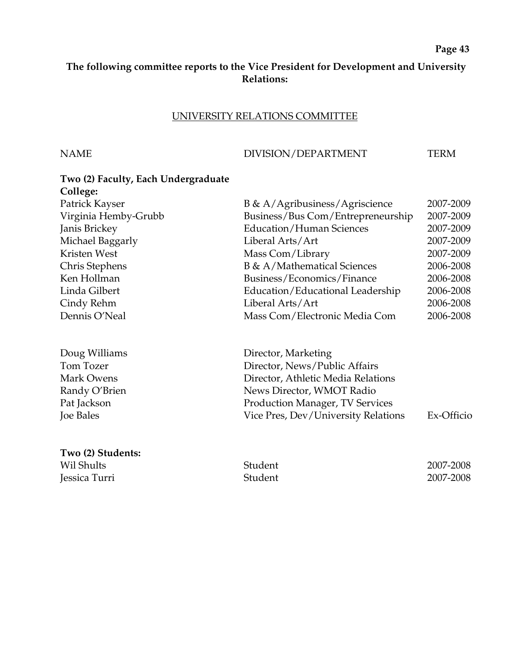#### **The following committee reports to the Vice President for Development and University Relations:**

#### UNIVERSITY RELATIONS COMMITTEE

#### NAME DIVISION/DEPARTMENT TERM

# **Two (2) Faculty, Each Undergraduate College:**  Patrick Kayser B & A/Agribusiness/Agriscience 2007-2009 Virginia Hemby-Grubb Business/Bus Com/Entrepreneurship 2007-2009 Janis Brickey Education/Human Sciences 2007-2009 Michael Baggarly Liberal Arts/Art 2007-2009 Kristen West Mass Com/Library 2007-2009 Chris Stephens B & A/Mathematical Sciences 2006-2008 Ken Hollman Business/Economics/Finance 2006-2008 Linda Gilbert Education/Educational Leadership 2006-2008 Cindy Rehm Liberal Arts/Art 2006-2008 Dennis O'Neal Mass Com/Electronic Media Com 2006-2008 Doug Williams **Director**, Marketing Tom Tozer **Director, News/Public Affairs** Mark Owens Director, Athletic Media Relations Randy O'Brien News Director, WMOT Radio Pat Jackson **Production Manager, TV Services** Joe Bales Vice Pres, Dev/University Relations Ex-Officio

**Two (2) Students:**  Wil Shults 2007-2008 Jessica Turri Student 2007-2008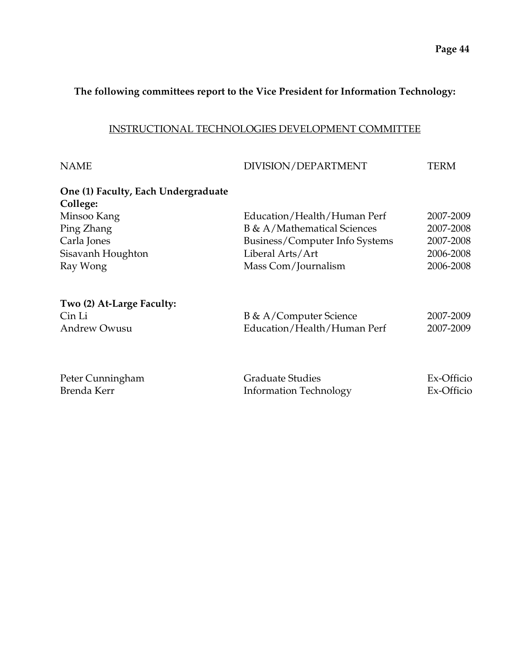## **The following committees report to the Vice President for Information Technology:**

#### INSTRUCTIONAL TECHNOLOGIES DEVELOPMENT COMMITTEE

| <b>NAME</b>                         | DIVISION/DEPARTMENT            | TERM       |
|-------------------------------------|--------------------------------|------------|
| One (1) Faculty, Each Undergraduate |                                |            |
| College:                            |                                |            |
| Minsoo Kang                         | Education/Health/Human Perf    | 2007-2009  |
| Ping Zhang                          | B & A/Mathematical Sciences    | 2007-2008  |
| Carla Jones                         | Business/Computer Info Systems | 2007-2008  |
| Sisavanh Houghton                   | Liberal Arts/Art               | 2006-2008  |
| Ray Wong                            | Mass Com/Journalism            | 2006-2008  |
| Two (2) At-Large Faculty:           |                                |            |
| Cin Li                              | B & A/Computer Science         | 2007-2009  |
| <b>Andrew Owusu</b>                 | Education/Health/Human Perf    | 2007-2009  |
|                                     |                                |            |
| Peter Cunningham                    | <b>Graduate Studies</b>        | Ex-Officio |
| Brenda Kerr                         | <b>Information Technology</b>  | Ex-Officio |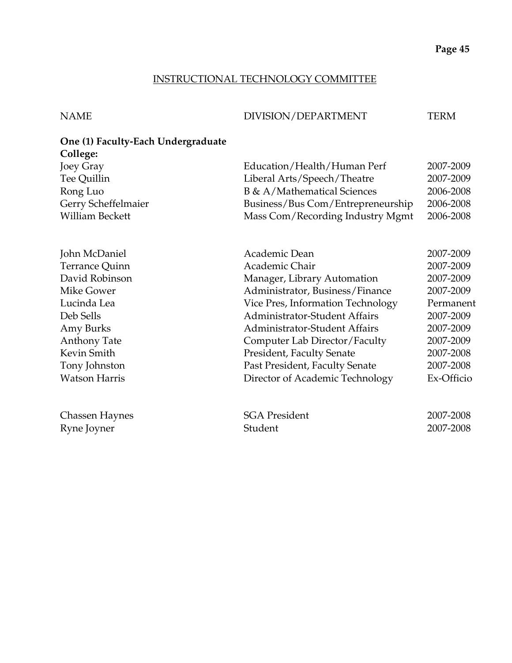## INSTRUCTIONAL TECHNOLOGY COMMITTEE

| NAME | DIVISION/DEPARTMENT | TERM |
|------|---------------------|------|
|      |                     |      |

# **One (1) Faculty-Each Undergraduate College:**

| Joey Gray            | Education/Health/Human Perf          | 2007-2009  |
|----------------------|--------------------------------------|------------|
| Tee Quillin          | Liberal Arts/Speech/Theatre          | 2007-2009  |
| Rong Luo             | <b>B</b> & A/Mathematical Sciences   | 2006-2008  |
| Gerry Scheffelmaier  | Business/Bus Com/Entrepreneurship    | 2006-2008  |
| William Beckett      | Mass Com/Recording Industry Mgmt     | 2006-2008  |
| John McDaniel        | Academic Dean                        | 2007-2009  |
| Terrance Quinn       | Academic Chair                       | 2007-2009  |
| David Robinson       | Manager, Library Automation          | 2007-2009  |
| Mike Gower           | Administrator, Business/Finance      | 2007-2009  |
| Lucinda Lea          | Vice Pres, Information Technology    | Permanent  |
| Deb Sells            | <b>Administrator-Student Affairs</b> | 2007-2009  |
| Amy Burks            | <b>Administrator-Student Affairs</b> | 2007-2009  |
| Anthony Tate         | Computer Lab Director/Faculty        | 2007-2009  |
| Kevin Smith          | <b>President, Faculty Senate</b>     | 2007-2008  |
| Tony Johnston        | Past President, Faculty Senate       | 2007-2008  |
| <b>Watson Harris</b> | Director of Academic Technology      | Ex-Officio |
| Chassen Haynes       | <b>SGA President</b>                 | 2007-2008  |
| Ryne Joyner          | Student                              | 2007-2008  |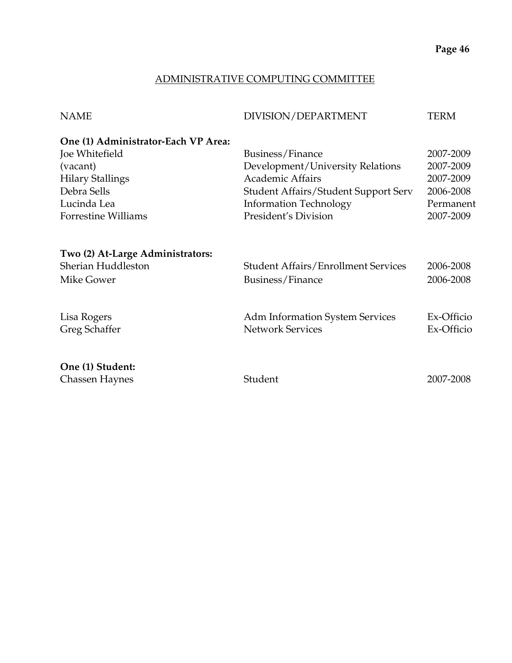## ADMINISTRATIVE COMPUTING COMMITTEE

| <b>NAME</b>                         | DIVISION/DEPARTMENT                                               | <b>TERM</b> |
|-------------------------------------|-------------------------------------------------------------------|-------------|
| One (1) Administrator-Each VP Area: |                                                                   |             |
| Joe Whitefield                      | Business/Finance                                                  | 2007-2009   |
| (vacant)                            | Development/University Relations                                  | 2007-2009   |
| <b>Hilary Stallings</b>             | <b>Academic Affairs</b>                                           | 2007-2009   |
| Debra Sells                         | <b>Student Affairs/Student Support Serv</b>                       | 2006-2008   |
| Lucinda Lea                         | <b>Information Technology</b>                                     | Permanent   |
| Forrestine Williams                 | President's Division                                              | 2007-2009   |
| Two (2) At-Large Administrators:    |                                                                   |             |
| Sherian Huddleston                  | <b>Student Affairs/Enrollment Services</b>                        | 2006-2008   |
| Mike Gower                          | Business/Finance                                                  | 2006-2008   |
|                                     |                                                                   | Ex-Officio  |
| Lisa Rogers                         | <b>Adm Information System Services</b><br><b>Network Services</b> | Ex-Officio  |
| Greg Schaffer                       |                                                                   |             |
| One (1) Student:                    |                                                                   |             |
| Chassen Haynes                      | Student                                                           | 2007-2008   |
|                                     |                                                                   |             |